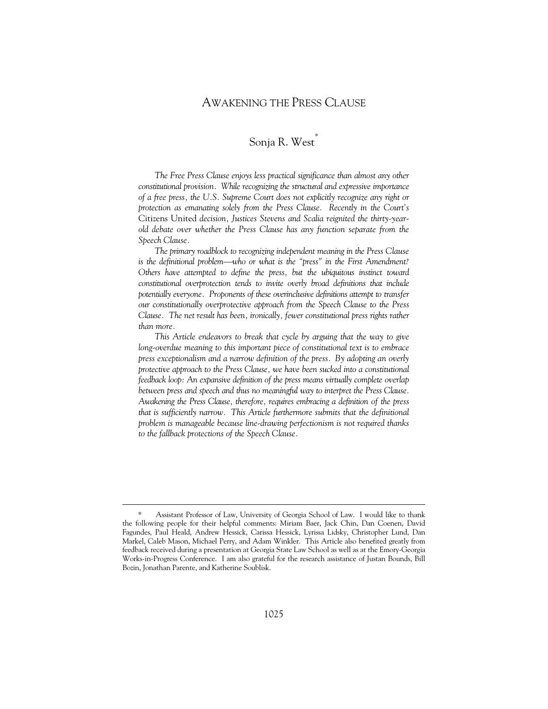# AWAKENING THE PRESS CLAUSE

# Sonja R. West\*

*The Free Press Clause enjoys less practical significance than almost any other constitutional provision. While recognizing the structural and expressive importance of a free press, the U.S. Supreme Court does not explicitly recognize any right or protection as emanating solely from the Press Clause. Recently in the Court's*  Citizens United *decision, Justices Stevens and Scalia reignited the thirty-yearold debate over whether the Press Clause has any function separate from the Speech Clause.* 

*The primary roadblock to recognizing independent meaning in the Press Clause is the definitional problem—who or what is the "press" in the First Amendment? Others have attempted to define the press, but the ubiquitous instinct toward constitutional overprotection tends to invite overly broad definitions that include potentially everyone. Proponents of these overinclusive definitions attempt to transfer our constitutionally overprotective approach from the Speech Clause to the Press Clause. The net result has been, ironically, fewer constitutional press rights rather than more.* 

*This Article endeavors to break that cycle by arguing that the way to give long-overdue meaning to this important piece of constitutional text is to embrace press exceptionalism and a narrow definition of the press. By adopting an overly protective approach to the Press Clause, we have been sucked into a constitutional feedback loop: An expansive definition of the press means virtually complete overlap between press and speech and thus no meaningful way to interpret the Press Clause. Awakening the Press Clause, therefore, requires embracing a definition of the press that is sufficiently narrow. This Article furthermore submits that the definitional problem is manageable because line-drawing perfectionism is not required thanks to the fallback protections of the Speech Clause.* 

 <sup>\*</sup> Assistant Professor of Law, University of Georgia School of Law. I would like to thank the following people for their helpful comments: Miriam Baer, Jack Chin, Dan Coenen, David Fagundes, Paul Heald, Andrew Hessick, Carissa Hessick, Lyrissa Lidsky, Christopher Lund, Dan Markel, Caleb Mason, Michael Perry, and Adam Winkler. This Article also benefited greatly from feedback received during a presentation at Georgia State Law School as well as at the Emory-Georgia Works-in-Progress Conference. I am also grateful for the research assistance of Justan Bounds, Bill Bozin, Jonathan Parente, and Katherine Soublisk.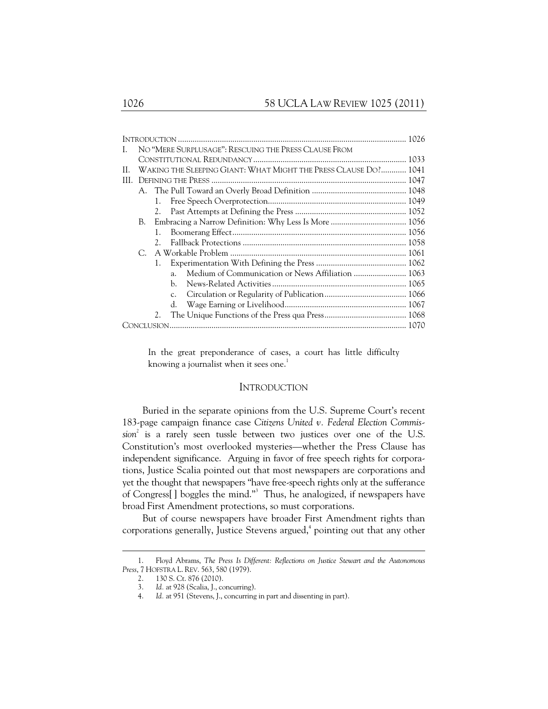|     | NO "MERE SURPLUSAGE": RESCUING THE PRESS CLAUSE FROM            |    |                |  |
|-----|-----------------------------------------------------------------|----|----------------|--|
|     |                                                                 |    |                |  |
| Н.  | WAKING THE SLEEPING GIANT: WHAT MIGHT THE PRESS CLAUSE DO? 1041 |    |                |  |
| HL. |                                                                 |    |                |  |
|     |                                                                 |    |                |  |
|     |                                                                 |    |                |  |
|     |                                                                 |    |                |  |
|     | В.                                                              |    |                |  |
|     |                                                                 | 1. |                |  |
|     |                                                                 |    |                |  |
|     | $C_{\cdot}$                                                     |    |                |  |
|     |                                                                 | 1. |                |  |
|     |                                                                 |    | a <sub>z</sub> |  |
|     |                                                                 |    | h.             |  |
|     |                                                                 |    | $C_{\star}$    |  |
|     |                                                                 |    | d.             |  |
|     |                                                                 | 2. |                |  |
|     |                                                                 |    |                |  |
|     |                                                                 |    |                |  |

In the great preponderance of cases, a court has little difficulty knowing a journalist when it sees one.<sup>1</sup>

## INTRODUCTION

Buried in the separate opinions from the U.S. Supreme Court's recent 183-page campaign finance case *Citizens United v. Federal Election Commission*<sup>2</sup> is a rarely seen tussle between two justices over one of the U.S. Constitution's most overlooked mysteries—whether the Press Clause has independent significance. Arguing in favor of free speech rights for corporations, Justice Scalia pointed out that most newspapers are corporations and yet the thought that newspapers "have free-speech rights only at the sufferance of Congress[] boggles the mind."<sup>3</sup> Thus, he analogized, if newspapers have broad First Amendment protections, so must corporations.

But of course newspapers have broader First Amendment rights than corporations generally, Justice Stevens argued, $^4$  pointing out that any other

 <sup>1.</sup> Floyd Abrams, *The Press Is Different: Reflections on Justice Stewart and the Autonomous Press*, 7 HOFSTRA L. REV. 563, 580 (1979).

 <sup>2. 130</sup> S. Ct. 876 (2010).

 <sup>3.</sup> *Id.* at 928 (Scalia, J., concurring).

 <sup>4.</sup> *Id.* at 951 (Stevens, J., concurring in part and dissenting in part).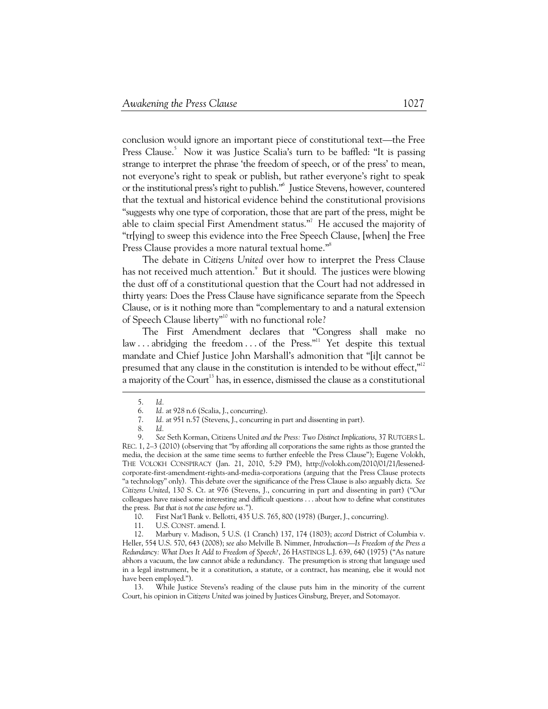conclusion would ignore an important piece of constitutional text—the Free Press Clause.<sup>5</sup> Now it was Justice Scalia's turn to be baffled: "It is passing strange to interpret the phrase 'the freedom of speech, or of the press' to mean, not everyone's right to speak or publish, but rather everyone's right to speak or the institutional press's right to publish."6 Justice Stevens, however, countered that the textual and historical evidence behind the constitutional provisions "suggests why one type of corporation, those that are part of the press, might be able to claim special First Amendment status."<sup>7</sup> He accused the majority of "tr[ying] to sweep this evidence into the Free Speech Clause, [when] the Free Press Clause provides a more natural textual home."<sup>8</sup>

The debate in *Citizens United* over how to interpret the Press Clause has not received much attention.<sup>9</sup> But it should. The justices were blowing the dust off of a constitutional question that the Court had not addressed in thirty years: Does the Press Clause have significance separate from the Speech Clause, or is it nothing more than "complementary to and a natural extension of Speech Clause liberty"<sup>10</sup> with no functional role?

The First Amendment declares that "Congress shall make no law ... abridging the freedom ... of the Press."<sup>11</sup> Yet despite this textual mandate and Chief Justice John Marshall's admonition that "[i]t cannot be presumed that any clause in the constitution is intended to be without effect, $"^{12}$ a majority of the Court<sup>13</sup> has, in essence, dismissed the clause as a constitutional

1

- 10. First Nat'l Bank v. Bellotti, 435 U.S. 765, 800 (1978) (Burger, J., concurring).
- 11. U.S. CONST. amend. I.

 13. While Justice Stevens's reading of the clause puts him in the minority of the current Court, his opinion in *Citizens United* was joined by Justices Ginsburg, Breyer, and Sotomayor.

 <sup>5.</sup> *Id.*

 <sup>6.</sup> *Id.* at 928 n.6 (Scalia, J., concurring).

 <sup>7.</sup> *Id.* at 951 n.57 (Stevens, J., concurring in part and dissenting in part).

 <sup>8.</sup> *Id.*

 <sup>9.</sup> *See* Seth Korman, Citizens United *and the Press: Two Distinct Implications*, 37 RUTGERS L. REC. 1, 2–3 (2010) (observing that "by affording all corporations the same rights as those granted the media, the decision at the same time seems to further enfeeble the Press Clause"); Eugene Volokh, THE VOLOKH CONSPIRACY (Jan. 21, 2010, 5:29 PM), http://volokh.com/2010/01/21/lessenedcorporate-first-amendment-rights-and-media-corporations (arguing that the Press Clause protects "a technology" only). This debate over the significance of the Press Clause is also arguably dicta. *See Citizens United*, 130 S. Ct. at 976 (Stevens, J., concurring in part and dissenting in part) ("Our colleagues have raised some interesting and difficult questions . . . about how to define what constitutes the press. *But that is not the case before us.*").

 <sup>12.</sup> Marbury v. Madison, 5 U.S. (1 Cranch) 137, 174 (1803); *accord* District of Columbia v. Heller, 554 U.S. 570, 643 (2008); *see also* Melville B. Nimmer, *Introduction—Is Freedom of the Press a Redundancy: What Does It Add to Freedom of Speech?*, 26 HASTINGS L.J. 639, 640 (1975) ("As nature abhors a vacuum, the law cannot abide a redundancy. The presumption is strong that language used in a legal instrument, be it a constitution, a statute, or a contract, has meaning, else it would not have been employed.").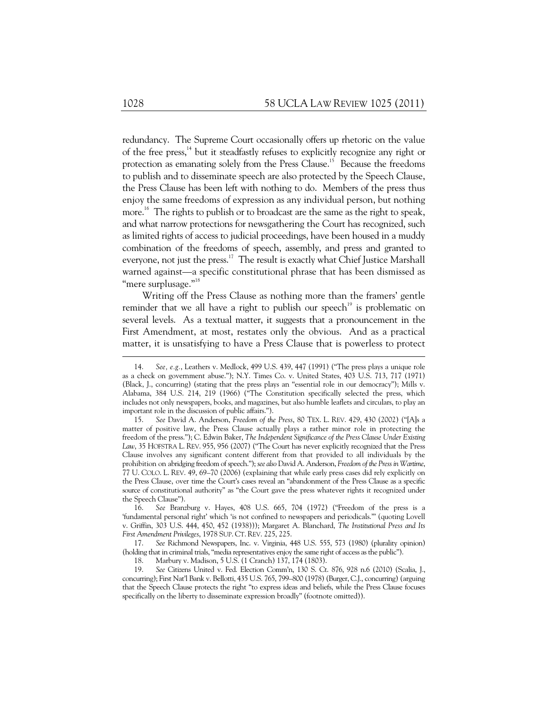redundancy. The Supreme Court occasionally offers up rhetoric on the value of the free press,<sup>14</sup> but it steadfastly refuses to explicitly recognize any right or protection as emanating solely from the Press Clause.<sup>15</sup> Because the freedoms to publish and to disseminate speech are also protected by the Speech Clause, the Press Clause has been left with nothing to do. Members of the press thus enjoy the same freedoms of expression as any individual person, but nothing more.<sup>16</sup> The rights to publish or to broadcast are the same as the right to speak, and what narrow protections for newsgathering the Court has recognized, such as limited rights of access to judicial proceedings, have been housed in a muddy combination of the freedoms of speech, assembly, and press and granted to everyone, not just the press.<sup>17</sup> The result is exactly what Chief Justice Marshall warned against—a specific constitutional phrase that has been dismissed as "mere surplusage."<sup>18</sup>

Writing off the Press Clause as nothing more than the framers' gentle reminder that we all have a right to publish our speech<sup>19</sup> is problematic on several levels. As a textual matter, it suggests that a pronouncement in the First Amendment, at most, restates only the obvious. And as a practical matter, it is unsatisfying to have a Press Clause that is powerless to protect

 17. *See* Richmond Newspapers, Inc. v. Virginia, 448 U.S. 555, 573 (1980) (plurality opinion) (holding that in criminal trials, "media representatives enjoy the same right of access as the public").

18. Marbury v. Madison, 5 U.S. (1 Cranch) 137, 174 (1803).

 19. *See* Citizens United v. Fed. Election Comm'n, 130 S. Ct. 876, 928 n.6 (2010) (Scalia, J., concurring); First Nat'l Bank v. Bellotti, 435 U.S. 765, 799–800 (1978) (Burger, C.J., concurring) (arguing that the Speech Clause protects the right "to express ideas and beliefs, while the Press Clause focuses specifically on the liberty to disseminate expression broadly" (footnote omitted)).

 <sup>14.</sup> *See, e.g.*, Leathers v. Medlock, 499 U.S. 439, 447 (1991) ("The press plays a unique role as a check on government abuse."); N.Y. Times Co. v. United States, 403 U.S. 713, 717 (1971) (Black, J., concurring) (stating that the press plays an "essential role in our democracy"); Mills v. Alabama, 384 U.S. 214, 219 (1966) ("The Constitution specifically selected the press, which includes not only newspapers, books, and magazines, but also humble leaflets and circulars, to play an important role in the discussion of public affairs.").

 <sup>15.</sup> *See* David A. Anderson, *Freedom of the Press*, 80 TEX. L. REV. 429, 430 (2002) ("[A]s a matter of positive law, the Press Clause actually plays a rather minor role in protecting the freedom of the press."); C. Edwin Baker, *The Independent Significance of the Press Clause Under Existing Law*, 35 HOFSTRA L. REV. 955, 956 (2007) ("The Court has never explicitly recognized that the Press Clause involves any significant content different from that provided to all individuals by the prohibition on abridging freedom of speech."); *see also* David A. Anderson, *Freedom of the Press in Wartime*, 77 U. COLO. L. REV. 49, 69–70 (2006) (explaining that while early press cases did rely explicitly on the Press Clause, over time the Court's cases reveal an "abandonment of the Press Clause as a specific source of constitutional authority" as "the Court gave the press whatever rights it recognized under the Speech Clause").

 <sup>16.</sup> *See* Branzburg v. Hayes, 408 U.S. 665, 704 (1972) ("Freedom of the press is a 'fundamental personal right' which 'is not confined to newspapers and periodicals.'" (quoting Lovell v. Griffin, 303 U.S. 444, 450, 452 (1938))); Margaret A. Blanchard, *The Institutional Press and Its First Amendment Privileges*, 1978 SUP. CT. REV. 225, 225.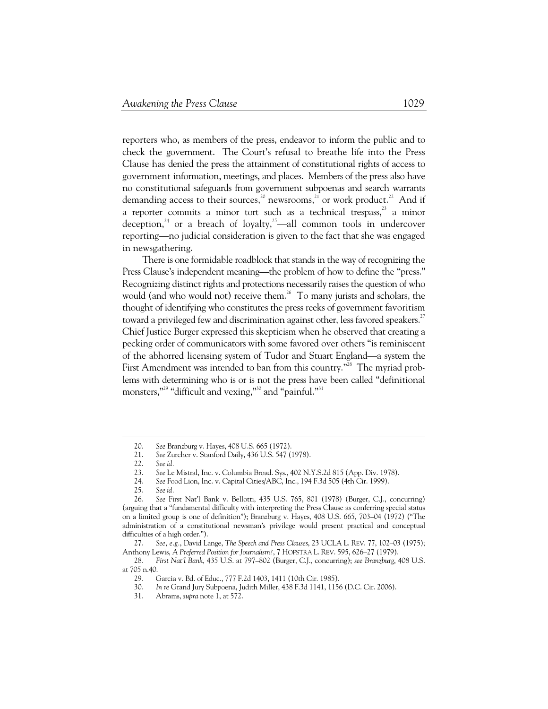reporters who, as members of the press, endeavor to inform the public and to check the government. The Court's refusal to breathe life into the Press Clause has denied the press the attainment of constitutional rights of access to government information, meetings, and places. Members of the press also have no constitutional safeguards from government subpoenas and search warrants demanding access to their sources,<sup>20</sup> newsrooms,<sup>21</sup> or work product.<sup>22</sup> And if a reporter commits a minor tort such as a technical trespass, $33$  a minor deception,<sup>24</sup> or a breach of loyalty,<sup>25</sup>—all common tools in undercover reporting—no judicial consideration is given to the fact that she was engaged in newsgathering.

There is one formidable roadblock that stands in the way of recognizing the Press Clause's independent meaning—the problem of how to define the "press." Recognizing distinct rights and protections necessarily raises the question of who would (and who would not) receive them.<sup>26</sup> To many jurists and scholars, the thought of identifying who constitutes the press reeks of government favoritism toward a privileged few and discrimination against other, less favored speakers.<sup>27</sup> Chief Justice Burger expressed this skepticism when he observed that creating a pecking order of communicators with some favored over others "is reminiscent of the abhorred licensing system of Tudor and Stuart England—a system the First Amendment was intended to ban from this country."<sup>28</sup> The myriad problems with determining who is or is not the press have been called "definitional monsters,"<sup>29</sup> "difficult and vexing,"<sup>30</sup> and "painful."<sup>31</sup>

 <sup>20.</sup> *See* Branzburg v. Hayes, 408 U.S. 665 (1972).

 <sup>21.</sup> *See* Zurcher v. Stanford Daily, 436 U.S. 547 (1978).

 <sup>22.</sup> *See id.*

 <sup>23.</sup> *See* Le Mistral, Inc. v. Columbia Broad. Sys., 402 N.Y.S.2d 815 (App. Div. 1978).

 <sup>24.</sup> *See* Food Lion, Inc. v. Capital Cities/ABC, Inc., 194 F.3d 505 (4th Cir. 1999).

 <sup>25.</sup> *See id.*

 <sup>26.</sup> *See* First Nat'l Bank v. Bellotti, 435 U.S. 765, 801 (1978) (Burger, C.J., concurring) (arguing that a "fundamental difficulty with interpreting the Press Clause as conferring special status on a limited group is one of definition"); Branzburg v. Hayes, 408 U.S. 665, 703–04 (1972) ("The administration of a constitutional newsman's privilege would present practical and conceptual difficulties of a high order.").

 <sup>27.</sup> *See, e.g.*, David Lange, *The Speech and Press Clauses*, 23 UCLA L. REV. 77, 102–03 (1975); Anthony Lewis, *A Preferred Position for Journalism?*, 7 HOFSTRA L. REV. 595, 626–27 (1979).

 <sup>28.</sup> *First Nat'l Bank*, 435 U.S. at 797–802 (Burger, C.J., concurring); *see Branzburg*, 408 U.S. at 705 n.40.

<sup>29.</sup> Garcia v. Bd. of Educ., 777 F.2d 1403, 1411 (10th Cir. 1985).<br>30. In re Grand Jury Subpoena, Judith Miller, 438 F.3d 1141, 115

 <sup>30.</sup> *In re* Grand Jury Subpoena, Judith Miller, 438 F.3d 1141, 1156 (D.C. Cir. 2006).

 <sup>31.</sup> Abrams, *supra* note 1, at 572.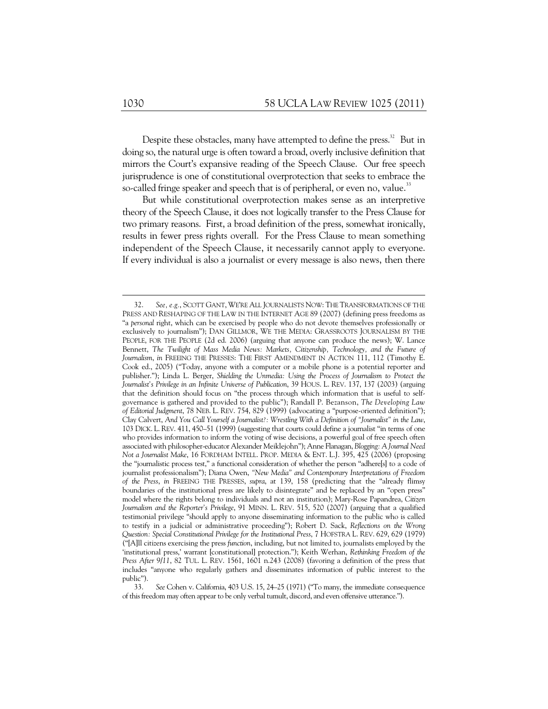Despite these obstacles, many have attempted to define the press.<sup>32</sup> But in doing so, the natural urge is often toward a broad, overly inclusive definition that mirrors the Court's expansive reading of the Speech Clause. Our free speech jurisprudence is one of constitutional overprotection that seeks to embrace the so-called fringe speaker and speech that is of peripheral, or even no, value.<sup>33</sup>

But while constitutional overprotection makes sense as an interpretive theory of the Speech Clause, it does not logically transfer to the Press Clause for two primary reasons. First, a broad definition of the press, somewhat ironically, results in fewer press rights overall. For the Press Clause to mean something independent of the Speech Clause, it necessarily cannot apply to everyone. If every individual is also a journalist or every message is also news, then there

 <sup>32.</sup> *See, e.g.*, SCOTT GANT, WE'RE ALL JOURNALISTS NOW: THE TRANSFORMATIONS OF THE PRESS AND RESHAPING OF THE LAW IN THE INTERNET AGE 89 (2007) (defining press freedoms as "a *personal* right, which can be exercised by people who do not devote themselves professionally or exclusively to journalism"); DAN GILLMOR, WE THE MEDIA: GRASSROOTS JOURNALISM BY THE PEOPLE, FOR THE PEOPLE (2d ed. 2006) (arguing that anyone can produce the news); W. Lance Bennett, *The Twilight of Mass Media News: Markets*, Citizenship, Technology, and the Future of *Journalism*, *in* FREEING THE PRESSES: THE FIRST AMENDMENT IN ACTION 111, 112 (Timothy E. Cook ed., 2005) ("Today, anyone with a computer or a mobile phone is a potential reporter and publisher."); Linda L. Berger, *Shielding the Unmedia: Using the Process of Journalism to Protect the Journalist's Privilege in an Infinite Universe of Publication*, 39 HOUS. L. REV. 137, 137 (2003) (arguing that the definition should focus on "the process through which information that is useful to selfgovernance is gathered and provided to the public"); Randall P. Bezanson, *The Developing Law of Editorial Judgment*, 78 NEB. L. REV. 754, 829 (1999) (advocating a "purpose-oriented definition"); Clay Calvert, *And You Call Yourself a Journalist?: Wrestling With a Definition of "Journalist" in the Law*, 103 DICK. L. REV. 411, 450–51 (1999) (suggesting that courts could define a journalist "in terms of one who provides information to inform the voting of wise decisions, a powerful goal of free speech often associated with philosopher-educator Alexander Meiklejohn"); Anne Flanagan, *Blogging: A Journal Need Not a Journalist Make*, 16 FORDHAM INTELL. PROP. MEDIA & ENT. L.J. 395, 425 (2006) (proposing the "journalistic process test," a functional consideration of whether the person "adhere[s] to a code of journalist professionalism"); Diana Owen, *"New Media" and Contemporary Interpretations of Freedom of the Press*, *in* FREEING THE PRESSES, *supra*, at 139, 158 (predicting that the "already flimsy boundaries of the institutional press are likely to disintegrate" and be replaced by an "open press" model where the rights belong to individuals and not an institution); Mary-Rose Papandrea, *Citizen Journalism and the Reporter's Privilege*, 91 MINN. L. REV. 515, 520 (2007) (arguing that a qualified testimonial privilege "should apply to anyone disseminating information to the public who is called to testify in a judicial or administrative proceeding"); Robert D. Sack, *Reflections on the Wrong Question: Special Constitutional Privilege for the Institutional Press*, 7 HOFSTRA L. REV. 629, 629 (1979) ("[A]ll citizens exercising the press *function*, including, but not limited to, journalists employed by the 'institutional press,' warrant [constitutional] protection."); Keith Werhan, *Rethinking Freedom of the Press After 9/11*, 82 TUL. L. REV. 1561, 1601 n.243 (2008) (favoring a definition of the press that includes "anyone who regularly gathers and disseminates information of public interest to the public").

 <sup>33.</sup> *See* Cohen v. California, 403 U.S. 15, 24–25 (1971) ("To many, the immediate consequence of this freedom may often appear to be only verbal tumult, discord, and even offensive utterance.").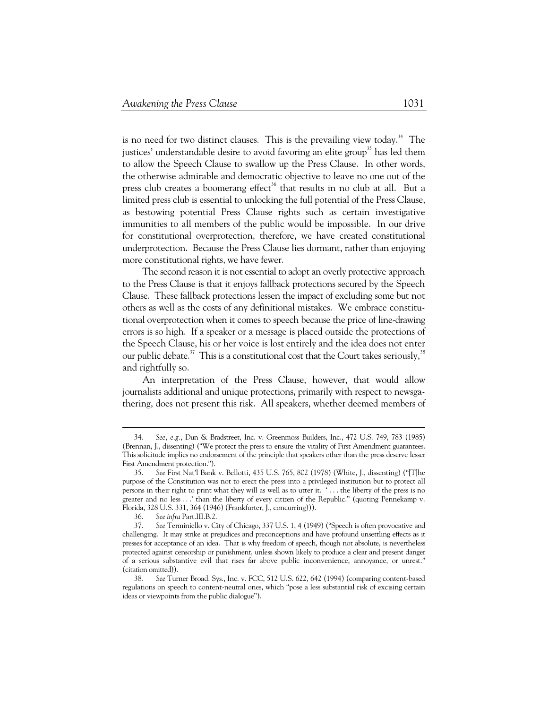is no need for two distinct clauses. This is the prevailing view today.<sup>34</sup> The justices' understandable desire to avoid favoring an elite group<sup>35</sup> has led them to allow the Speech Clause to swallow up the Press Clause. In other words, the otherwise admirable and democratic objective to leave no one out of the press club creates a boomerang effect<sup>36</sup> that results in no club at all. But a limited press club is essential to unlocking the full potential of the Press Clause, as bestowing potential Press Clause rights such as certain investigative immunities to all members of the public would be impossible. In our drive for constitutional overprotection, therefore, we have created constitutional underprotection. Because the Press Clause lies dormant, rather than enjoying more constitutional rights, we have fewer.

The second reason it is not essential to adopt an overly protective approach to the Press Clause is that it enjoys fallback protections secured by the Speech Clause. These fallback protections lessen the impact of excluding some but not others as well as the costs of any definitional mistakes. We embrace constitutional overprotection when it comes to speech because the price of line-drawing errors is so high. If a speaker or a message is placed outside the protections of the Speech Clause, his or her voice is lost entirely and the idea does not enter our public debate.<sup>37</sup> This is a constitutional cost that the Court takes seriously,  $38$ and rightfully so.

An interpretation of the Press Clause, however, that would allow journalists additional and unique protections, primarily with respect to newsgathering, does not present this risk. All speakers, whether deemed members of

 <sup>34.</sup> *See, e.g.*, Dun & Bradstreet, Inc. v. Greenmoss Builders, Inc., 472 U.S. 749, 783 (1985) (Brennan, J., dissenting) ("We protect the press to ensure the vitality of First Amendment guarantees. This solicitude implies no endorsement of the principle that speakers other than the press deserve lesser First Amendment protection.").

 <sup>35.</sup> *See* First Nat'l Bank v. Bellotti, 435 U.S. 765, 802 (1978) (White, J., dissenting) ("[T]he purpose of the Constitution was not to erect the press into a privileged institution but to protect all persons in their right to print what they will as well as to utter it. ' . . . the liberty of the press is no greater and no less . . .' than the liberty of every citizen of the Republic." (quoting Pennekamp v. Florida, 328 U.S. 331, 364 (1946) (Frankfurter, J., concurring))).

 <sup>36.</sup> *See infra* Part.III.B.2.

 <sup>37.</sup> *See* Terminiello v. City of Chicago, 337 U.S. 1, 4 (1949) ("Speech is often provocative and challenging. It may strike at prejudices and preconceptions and have profound unsettling effects as it presses for acceptance of an idea. That is why freedom of speech, though not absolute, is nevertheless protected against censorship or punishment, unless shown likely to produce a clear and present danger of a serious substantive evil that rises far above public inconvenience, annoyance, or unrest." (citation omitted)).

 <sup>38.</sup> *See* Turner Broad. Sys., Inc. v. FCC, 512 U.S. 622, 642 (1994) (comparing content-based regulations on speech to content-neutral ones, which "pose a less substantial risk of excising certain ideas or viewpoints from the public dialogue").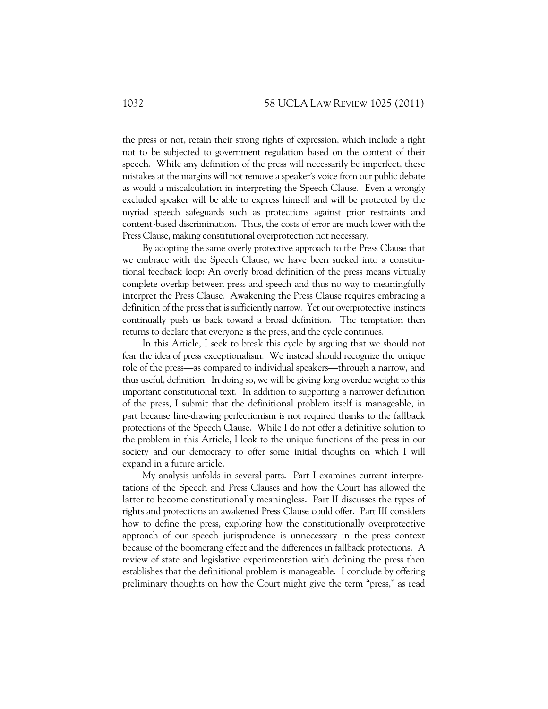the press or not, retain their strong rights of expression, which include a right not to be subjected to government regulation based on the content of their speech. While any definition of the press will necessarily be imperfect, these mistakes at the margins will not remove a speaker's voice from our public debate as would a miscalculation in interpreting the Speech Clause. Even a wrongly excluded speaker will be able to express himself and will be protected by the myriad speech safeguards such as protections against prior restraints and content-based discrimination. Thus, the costs of error are much lower with the Press Clause, making constitutional overprotection not necessary.

By adopting the same overly protective approach to the Press Clause that we embrace with the Speech Clause, we have been sucked into a constitutional feedback loop: An overly broad definition of the press means virtually complete overlap between press and speech and thus no way to meaningfully interpret the Press Clause. Awakening the Press Clause requires embracing a definition of the press that is sufficiently narrow. Yet our overprotective instincts continually push us back toward a broad definition. The temptation then returns to declare that everyone is the press, and the cycle continues.

In this Article, I seek to break this cycle by arguing that we should not fear the idea of press exceptionalism. We instead should recognize the unique role of the press—as compared to individual speakers—through a narrow, and thus useful, definition. In doing so, we will be giving long overdue weight to this important constitutional text. In addition to supporting a narrower definition of the press, I submit that the definitional problem itself is manageable, in part because line-drawing perfectionism is not required thanks to the fallback protections of the Speech Clause. While I do not offer a definitive solution to the problem in this Article, I look to the unique functions of the press in our society and our democracy to offer some initial thoughts on which I will expand in a future article.

My analysis unfolds in several parts. Part I examines current interpretations of the Speech and Press Clauses and how the Court has allowed the latter to become constitutionally meaningless. Part II discusses the types of rights and protections an awakened Press Clause could offer. Part III considers how to define the press, exploring how the constitutionally overprotective approach of our speech jurisprudence is unnecessary in the press context because of the boomerang effect and the differences in fallback protections. A review of state and legislative experimentation with defining the press then establishes that the definitional problem is manageable. I conclude by offering preliminary thoughts on how the Court might give the term "press," as read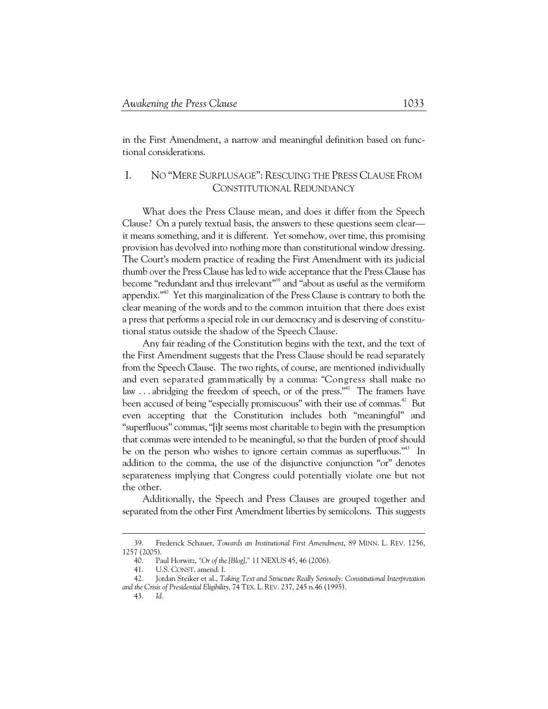in the First Amendment, a narrow and meaningful definition based on functional considerations.

# I. NO "MERE SURPLUSAGE": RESCUING THE PRESS CLAUSE FROM CONSTITUTIONAL REDUNDANCY

What does the Press Clause mean, and does it differ from the Speech Clause? On a purely textual basis, the answers to these questions seem clear it means something, and it is different. Yet somehow, over time, this promising provision has devolved into nothing more than constitutional window dressing. The Court's modern practice of reading the First Amendment with its judicial thumb over the Press Clause has led to wide acceptance that the Press Clause has become "redundant and thus irrelevant"<sup>39</sup> and "about as useful as the vermiform appendix."40 Yet this marginalization of the Press Clause is contrary to both the clear meaning of the words and to the common intuition that there does exist a press that performs a special role in our democracy and is deserving of constitutional status outside the shadow of the Speech Clause.

Any fair reading of the Constitution begins with the text, and the text of the First Amendment suggests that the Press Clause should be read separately from the Speech Clause. The two rights, of course, are mentioned individually and even separated grammatically by a comma: "Congress shall make no law  $\dots$  abridging the freedom of speech, or of the press."<sup>41</sup> The framers have been accused of being "especially promiscuous" with their use of commas.<sup>42</sup> But even accepting that the Constitution includes both "meaningful" and "superfluous" commas, "[i]t seems most charitable to begin with the presumption that commas were intended to be meaningful, so that the burden of proof should be on the person who wishes to ignore certain commas as superfluous."<sup>43</sup> In addition to the comma, the use of the disjunctive conjunction "or" denotes separateness implying that Congress could potentially violate one but not the other.

Additionally, the Speech and Press Clauses are grouped together and separated from the other First Amendment liberties by semicolons. This suggests

 <sup>39.</sup> Frederick Schauer, *Towards an Institutional First Amendment*, 89 MINN. L. REV. 1256, 1257 (2005).

 <sup>40.</sup> Paul Horwitz, *"Or of the [Blog]*,*"* 11 NEXUS 45, 46 (2006).

 <sup>41.</sup> U.S. CONST. amend. I.

 <sup>42.</sup> Jordan Steiker et al., *Taking Text and Structure Really Seriously: Constitutional Interpretation and the Crisis of Presidential Eligibility*, 74 TEX. L. REV. 237, 245 n.46 (1995).

 <sup>43.</sup> *Id.*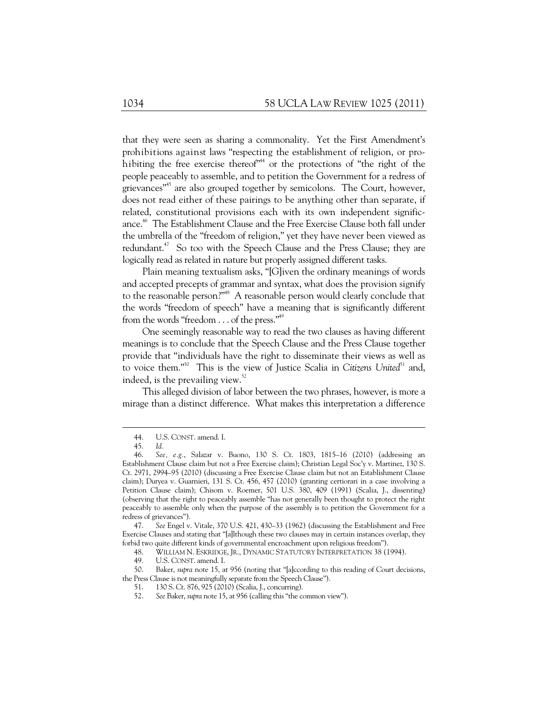that they were seen as sharing a commonality. Yet the First Amendment's prohibitions against laws "respecting the establishment of religion, or prohibiting the free exercise thereof"44 or the protections of "the right of the people peaceably to assemble, and to petition the Government for a redress of grievances"45 are also grouped together by semicolons. The Court, however, does not read either of these pairings to be anything other than separate, if related, constitutional provisions each with its own independent significance.<sup>46</sup> The Establishment Clause and the Free Exercise Clause both fall under the umbrella of the "freedom of religion," yet they have never been viewed as redundant.<sup>47</sup> So too with the Speech Clause and the Press Clause; they are logically read as related in nature but properly assigned different tasks.

Plain meaning textualism asks, "[G]iven the ordinary meanings of words and accepted precepts of grammar and syntax, what does the provision signify to the reasonable person."<sup>48</sup> A reasonable person would clearly conclude that the words "freedom of speech" have a meaning that is significantly different from the words "freedom . . . of the press."49

One seemingly reasonable way to read the two clauses as having different meanings is to conclude that the Speech Clause and the Press Clause together provide that "individuals have the right to disseminate their views as well as to voice them."<sup>50</sup> This is the view of Justice Scalia in *Citizens United*<sup>51</sup> and, indeed, is the prevailing view.<sup>52</sup>

This alleged division of labor between the two phrases, however, is more a mirage than a distinct difference. What makes this interpretation a difference

 <sup>44.</sup> U.S. CONST. amend. I.

 <sup>45.</sup> *Id.*

 <sup>46.</sup> *See, e.g.*, Salazar v. Buono, 130 S. Ct. 1803, 1815–16 (2010) (addressing an Establishment Clause claim but not a Free Exercise claim); Christian Legal Soc'y v. Martinez, 130 S. Ct. 2971, 2994–95 (2010) (discussing a Free Exercise Clause claim but not an Establishment Clause claim); Duryea v. Guarnieri, 131 S. Ct. 456, 457 (2010) (granting certiorari in a case involving a Petition Clause claim); Chisom v. Roemer, 501 U.S. 380, 409 (1991) (Scalia, J., dissenting) (observing that the right to peaceably assemble "has not generally been thought to protect the right peaceably to assemble only when the purpose of the assembly is to petition the Government for a redress of grievances").

 <sup>47.</sup> *See* Engel v. Vitale, 370 U.S. 421, 430–33 (1962) (discussing the Establishment and Free Exercise Clauses and stating that "[a]lthough these two clauses may in certain instances overlap, they forbid two quite different kinds of governmental encroachment upon religious freedom").

<sup>48.</sup> WILLIAM N. ESKRIDGE, JR., DYNAMIC STATUTORY INTERPRETATION 38 (1994).<br>49. U.S. CONST. amend. I.

 <sup>49.</sup> U.S. CONST. amend. I.

 <sup>50.</sup> Baker, *supra* note 15, at 956 (noting that "[a]ccording to this reading of Court decisions, the Press Clause is not meaningfully separate from the Speech Clause").

 <sup>51. 130</sup> S. Ct. 876, 925 (2010) (Scalia, J., concurring).

 <sup>52.</sup> *See* Baker, *supra* note 15, at 956 (calling this "the common view").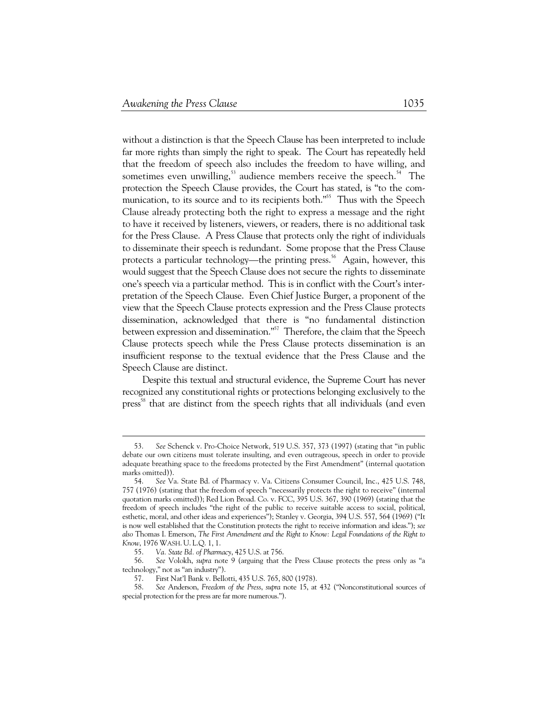without a distinction is that the Speech Clause has been interpreted to include far more rights than simply the right to speak. The Court has repeatedly held that the freedom of speech also includes the freedom to have willing, and sometimes even unwilling,  $53$  audience members receive the speech.<sup>54</sup> The protection the Speech Clause provides, the Court has stated, is "to the communication, to its source and to its recipients both."<sup>55</sup> Thus with the Speech Clause already protecting both the right to express a message and the right to have it received by listeners, viewers, or readers, there is no additional task for the Press Clause. A Press Clause that protects only the right of individuals to disseminate their speech is redundant. Some propose that the Press Clause protects a particular technology—the printing press.<sup>56</sup> Again, however, this would suggest that the Speech Clause does not secure the rights to disseminate one's speech via a particular method. This is in conflict with the Court's interpretation of the Speech Clause. Even Chief Justice Burger, a proponent of the view that the Speech Clause protects expression and the Press Clause protects dissemination, acknowledged that there is "no fundamental distinction between expression and dissemination."<sup>57</sup> Therefore, the claim that the Speech Clause protects speech while the Press Clause protects dissemination is an insufficient response to the textual evidence that the Press Clause and the Speech Clause are distinct.

Despite this textual and structural evidence, the Supreme Court has never recognized any constitutional rights or protections belonging exclusively to the press<sup>58</sup> that are distinct from the speech rights that all individuals (and even

 <sup>53.</sup> *See* Schenck v. Pro-Choice Network, 519 U.S. 357, 373 (1997) (stating that "in public debate our own citizens must tolerate insulting, and even outrageous, speech in order to provide adequate breathing space to the freedoms protected by the First Amendment" (internal quotation marks omitted)).

 <sup>54.</sup> *See* Va. State Bd. of Pharmacy v. Va. Citizens Consumer Council, Inc., 425 U.S. 748, 757 (1976) (stating that the freedom of speech "necessarily protects the right to receive" (internal quotation marks omitted)); Red Lion Broad. Co. v. FCC, 395 U.S. 367, 390 (1969) (stating that the freedom of speech includes "the right of the public to receive suitable access to social, political, esthetic, moral, and other ideas and experiences"); Stanley v. Georgia, 394 U.S. 557, 564 (1969) ("It is now well established that the Constitution protects the right to receive information and ideas."); *see also* Thomas I. Emerson, *The First Amendment and the Right to Know: Legal Foundations of the Right to Know*, 1976 WASH. U. L.Q. 1, 1.

 <sup>55.</sup> *Va. State Bd. of Pharmacy*, 425 U.S. at 756.

See Volokh, *supra* note 9 (arguing that the Press Clause protects the press only as "a technology," not as "an industry").

 <sup>57.</sup> First Nat'l Bank v. Bellotti, 435 U.S. 765, 800 (1978).

 <sup>58.</sup> *See* Anderson, *Freedom of the Press*, *supra* note 15, at 432 ("Nonconstitutional sources of special protection for the press are far more numerous.").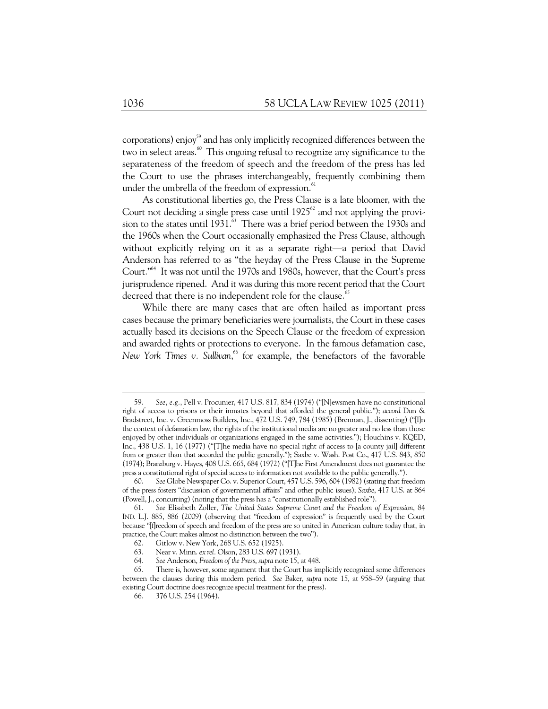corporations) enjoy<sup>59</sup> and has only implicitly recognized differences between the two in select areas.<sup>60</sup> This ongoing refusal to recognize any significance to the separateness of the freedom of speech and the freedom of the press has led the Court to use the phrases interchangeably, frequently combining them under the umbrella of the freedom of expression.<sup>61</sup>

As constitutional liberties go, the Press Clause is a late bloomer, with the Court not deciding a single press case until  $1925^{\circ}$  and not applying the provision to the states until 1931.<sup>63</sup> There was a brief period between the 1930s and the 1960s when the Court occasionally emphasized the Press Clause, although without explicitly relying on it as a separate right—a period that David Anderson has referred to as "the heyday of the Press Clause in the Supreme Court."64 It was not until the 1970s and 1980s, however, that the Court's press jurisprudence ripened. And it was during this more recent period that the Court decreed that there is no independent role for the clause.<sup>65</sup>

While there are many cases that are often hailed as important press cases because the primary beneficiaries were journalists, the Court in these cases actually based its decisions on the Speech Clause or the freedom of expression and awarded rights or protections to everyone. In the famous defamation case, New York Times v. Sullivan,<sup>66</sup> for example, the benefactors of the favorable

 <sup>59.</sup> *See, e.g.*, Pell v. Procunier, 417 U.S. 817, 834 (1974) ("[N]ewsmen have no constitutional right of access to prisons or their inmates beyond that afforded the general public."); *accord* Dun & Bradstreet, Inc. v. Greenmoss Builders, Inc., 472 U.S. 749, 784 (1985) (Brennan, J., dissenting) ("[I]n the context of defamation law, the rights of the institutional media are no greater and no less than those enjoyed by other individuals or organizations engaged in the same activities."); Houchins v. KQED, Inc., 438 U.S. 1, 16 (1977) ("[T]he media have no special right of access to [a county jail] different from or greater than that accorded the public generally."); Saxbe v. Wash. Post Co., 417 U.S. 843, 850 (1974); Branzburg v. Hayes, 408 U.S. 665, 684 (1972) ("[T]he First Amendment does not guarantee the press a constitutional right of special access to information not available to the public generally.").

 <sup>60.</sup> *See* Globe Newspaper Co. v. Superior Court, 457 U.S. 596, 604 (1982) (stating that freedom of the press fosters "discussion of governmental affairs" and other public issues); *Saxbe*, 417 U.S. at 864 (Powell, J., concurring) (noting that the press has a "constitutionally established role").

 <sup>61.</sup> *See* Elisabeth Zoller, *The United States Supreme Court and the Freedom of Expression*, 84 IND. L.J. 885, 886 (2009) (observing that "freedom of expression" is frequently used by the Court because "[f]reedom of speech and freedom of the press are so united in American culture today that, in practice, the Court makes almost no distinction between the two").

 <sup>62.</sup> Gitlow v. New York, 268 U.S. 652 (1925).

 <sup>63.</sup> Near v. Minn. *ex rel.* Olson, 283 U.S. 697 (1931).

 <sup>64.</sup> *See* Anderson, *Freedom of the Press*, *supra* note 15, at 448.

 <sup>65.</sup> There is, however, some argument that the Court has implicitly recognized some differences between the clauses during this modern period. *See* Baker, *supra* note 15, at 958–59 (arguing that existing Court doctrine does recognize special treatment for the press).

 <sup>66. 376</sup> U.S. 254 (1964).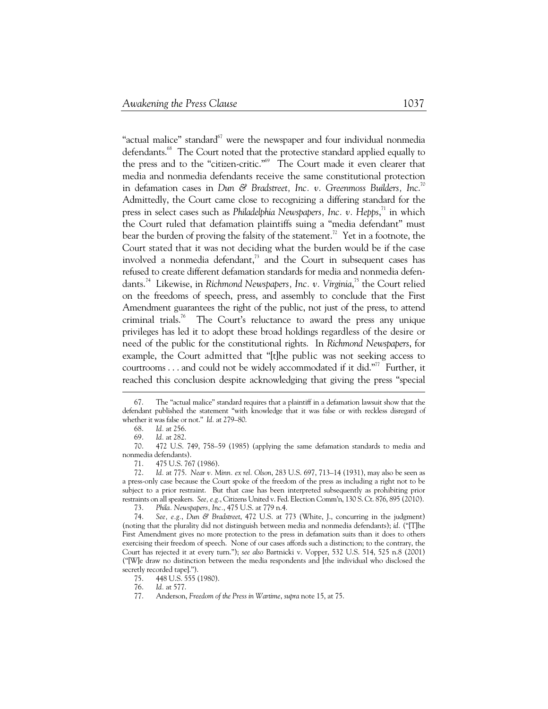"actual malice" standard<sup>67</sup> were the newspaper and four individual nonmedia defendants.<sup>68</sup> The Court noted that the protective standard applied equally to the press and to the "citizen-critic."<sup>69</sup> The Court made it even clearer that media and nonmedia defendants receive the same constitutional protection in defamation cases in *Dun & Bradstreet*, Inc. v. Greenmoss Builders, Inc.<sup>70</sup> Admittedly, the Court came close to recognizing a differing standard for the press in select cases such as *Philadelphia Newspapers, Inc. v. Hepps*, 71 in which the Court ruled that defamation plaintiffs suing a "media defendant" must bear the burden of proving the falsity of the statement.<sup>72</sup> Yet in a footnote, the Court stated that it was not deciding what the burden would be if the case involved a nonmedia defendant, $^{3}$  and the Court in subsequent cases has refused to create different defamation standards for media and nonmedia defendants.74 Likewise, in *Richmond Newspapers, Inc. v. Virginia*, 75 the Court relied on the freedoms of speech, press, and assembly to conclude that the First Amendment guarantees the right of the public, not just of the press, to attend criminal trials.<sup>76</sup> The Court's reluctance to award the press any unique privileges has led it to adopt these broad holdings regardless of the desire or need of the public for the constitutional rights. In *Richmond Newspapers*, for example, the Court admitted that "[t]he public was not seeking access to courtrooms  $\dots$  and could not be widely accommodated if it did."<sup>77</sup> Further, it reached this conclusion despite acknowledging that giving the press "special

 <sup>67.</sup> The "actual malice" standard requires that a plaintiff in a defamation lawsuit show that the defendant published the statement "with knowledge that it was false or with reckless disregard of whether it was false or not." *Id.* at 279–80.

 <sup>68.</sup> *Id.* at 256.

 <sup>69.</sup> *Id.* at 282.

 <sup>70. 472</sup> U.S. 749, 758–59 (1985) (applying the same defamation standards to media and nonmedia defendants).

 <sup>71. 475</sup> U.S. 767 (1986).

 <sup>72.</sup> *Id.* at 775. *Near v. Minn. ex rel. Olson*, 283 U.S. 697, 713–14 (1931), may also be seen as a press-only case because the Court spoke of the freedom of the press as including a right not to be subject to a prior restraint. But that case has been interpreted subsequently as prohibiting prior restraints on all speakers. *See, e.g.*, Citizens United v. Fed. Election Comm'n, 130 S. Ct. 876, 895 (2010).

 <sup>73.</sup> *Phila. Newspapers, Inc.*, 475 U.S. at 779 n.4.

 <sup>74.</sup> *See, e.g.*, *Dun & Bradstreet*, 472 U.S. at 773 (White, J., concurring in the judgment) (noting that the plurality did not distinguish between media and nonmedia defendants); *id.* ("[T]he First Amendment gives no more protection to the press in defamation suits than it does to others exercising their freedom of speech. None of our cases affords such a distinction; to the contrary, the Court has rejected it at every turn."); *see also* Bartnicki v. Vopper, 532 U.S. 514, 525 n.8 (2001) ("[W]e draw no distinction between the media respondents and [the individual who disclosed the secretly recorded tape].").

 <sup>75. 448</sup> U.S. 555 (1980).

*Id.* at 577.

 <sup>77.</sup> Anderson, *Freedom of the Press in Wartime*, *supra* note 15, at 75.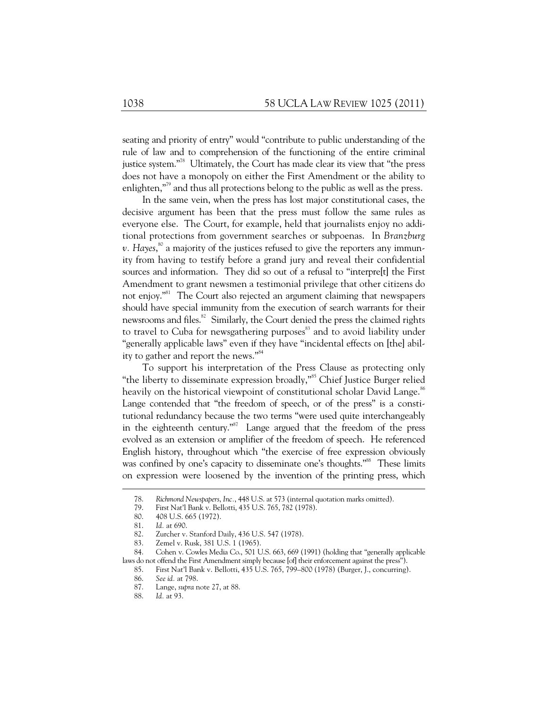seating and priority of entry" would "contribute to public understanding of the rule of law and to comprehension of the functioning of the entire criminal justice system."<sup>78</sup> Ultimately, the Court has made clear its view that "the press does not have a monopoly on either the First Amendment or the ability to enlighten,"<sup>79</sup> and thus all protections belong to the public as well as the press.

In the same vein, when the press has lost major constitutional cases, the decisive argument has been that the press must follow the same rules as everyone else. The Court, for example, held that journalists enjoy no additional protections from government searches or subpoenas. In *Branzburg v. Hayes*, 80 a majority of the justices refused to give the reporters any immunity from having to testify before a grand jury and reveal their confidential sources and information. They did so out of a refusal to "interpre[t] the First Amendment to grant newsmen a testimonial privilege that other citizens do not enjoy."<sup>81</sup> The Court also rejected an argument claiming that newspapers should have special immunity from the execution of search warrants for their newsrooms and files.<sup>82</sup> Similarly, the Court denied the press the claimed rights to travel to Cuba for newsgathering purposes<sup>83</sup> and to avoid liability under "generally applicable laws" even if they have "incidental effects on [the] ability to gather and report the news."<sup>84</sup>

To support his interpretation of the Press Clause as protecting only "the liberty to disseminate expression broadly,"<sup>85</sup> Chief Justice Burger relied heavily on the historical viewpoint of constitutional scholar David Lange.<sup>86</sup> Lange contended that "the freedom of speech, or of the press" is a constitutional redundancy because the two terms "were used quite interchangeably in the eighteenth century."<sup>87</sup> Lange argued that the freedom of the press evolved as an extension or amplifier of the freedom of speech. He referenced English history, throughout which "the exercise of free expression obviously was confined by one's capacity to disseminate one's thoughts."<sup>88</sup> These limits on expression were loosened by the invention of the printing press, which

 <sup>78.</sup> *Richmond Newspapers*, *Inc.*, 448 U.S. at 573 (internal quotation marks omitted).

 <sup>79.</sup> First Nat'l Bank v. Bellotti, 435 U.S. 765, 782 (1978).

 <sup>80. 408</sup> U.S. 665 (1972).

 <sup>81.</sup> *Id.* at 690.

 <sup>82.</sup> Zurcher v. Stanford Daily, 436 U.S. 547 (1978).

 <sup>83.</sup> Zemel v. Rusk, 381 U.S. 1 (1965).

 <sup>84.</sup> Cohen v. Cowles Media Co., 501 U.S. 663, 669 (1991) (holding that "generally applicable laws do not offend the First Amendment simply because [of] their enforcement against the press").

 <sup>85.</sup> First Nat'l Bank v. Bellotti, 435 U.S. 765, 799–800 (1978) (Burger, J., concurring). 86. *See id.* at 798.

 <sup>87.</sup> Lange, *supra* note 27, at 88.

 <sup>88.</sup> *Id.* at 93.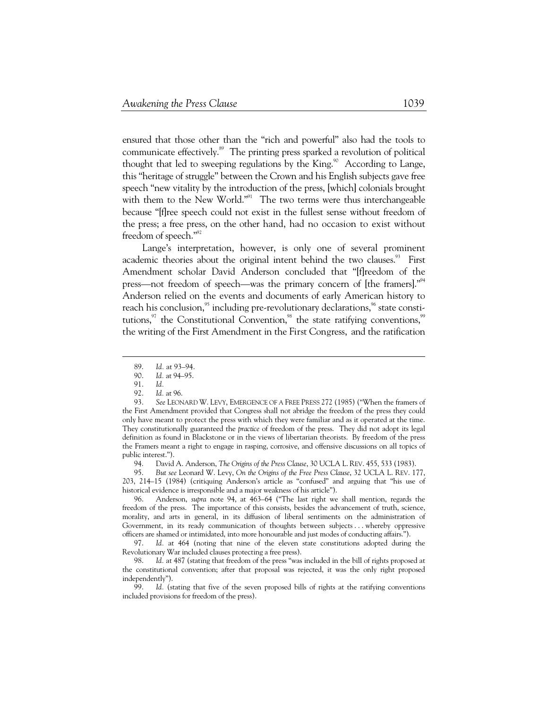ensured that those other than the "rich and powerful" also had the tools to communicate effectively.<sup>89</sup> The printing press sparked a revolution of political thought that led to sweeping regulations by the King. $\%$  According to Lange, this "heritage of struggle" between the Crown and his English subjects gave free speech "new vitality by the introduction of the press, [which] colonials brought with them to the New World."<sup>91</sup> The two terms were thus interchangeable because "[f]ree speech could not exist in the fullest sense without freedom of the press; a free press, on the other hand, had no occasion to exist without freedom of speech."<sup>92</sup>

Lange's interpretation, however, is only one of several prominent academic theories about the original intent behind the two clauses.<sup>93</sup> First Amendment scholar David Anderson concluded that "[f]reedom of the press—not freedom of speech—was the primary concern of [the framers]."<sup>94</sup> Anderson relied on the events and documents of early American history to reach his conclusion,<sup>95</sup> including pre-revolutionary declarations,<sup>96</sup> state constitutions, $97$  the Constitutional Convention, $98$  the state ratifying conventions, $99$ the writing of the First Amendment in the First Congress, and the ratification

-

 93. *See* LEONARD W. LEVY, EMERGENCE OF A FREE PRESS 272 (1985) ("When the framers of the First Amendment provided that Congress shall not abridge the freedom of the press they could only have meant to protect the press with which they were familiar and as it operated at the time. They constitutionally guaranteed the *practice* of freedom of the press. They did not adopt its legal definition as found in Blackstone or in the views of libertarian theorists. By freedom of the press the Framers meant a right to engage in rasping, corrosive, and offensive discussions on all topics of public interest.").

94. David A. Anderson, *The Origins of the Press Clause*, 30 UCLA L. REV. 455, 533 (1983).

 95. *But see* Leonard W. Levy, *On the Origins of the Free Press Clause*, 32 UCLA L. REV. 177, 203, 214–15 (1984) (critiquing Anderson's article as "confused" and arguing that "his use of historical evidence is irresponsible and a major weakness of his article").

 96. Anderson, *supra* note 94, at 463–64 ("The last right we shall mention, regards the freedom of the press. The importance of this consists, besides the advancement of truth, science, morality, and arts in general, in its diffusion of liberal sentiments on the administration of Government, in its ready communication of thoughts between subjects . . . whereby oppressive officers are shamed or intimidated, into more honourable and just modes of conducting affairs.").

Id. at 464 (noting that nine of the eleven state constitutions adopted during the Revolutionary War included clauses protecting a free press).

 98. *Id.* at 487 (stating that freedom of the press "was included in the bill of rights proposed at the constitutional convention; after that proposal was rejected, it was the only right proposed independently").

 99. *Id.* (stating that five of the seven proposed bills of rights at the ratifying conventions included provisions for freedom of the press).

 <sup>89.</sup> *Id.* at 93–94.

 <sup>90.</sup> *Id.* at 94–95.

 <sup>91.</sup> *Id.*

 <sup>92.</sup> *Id.* at 96.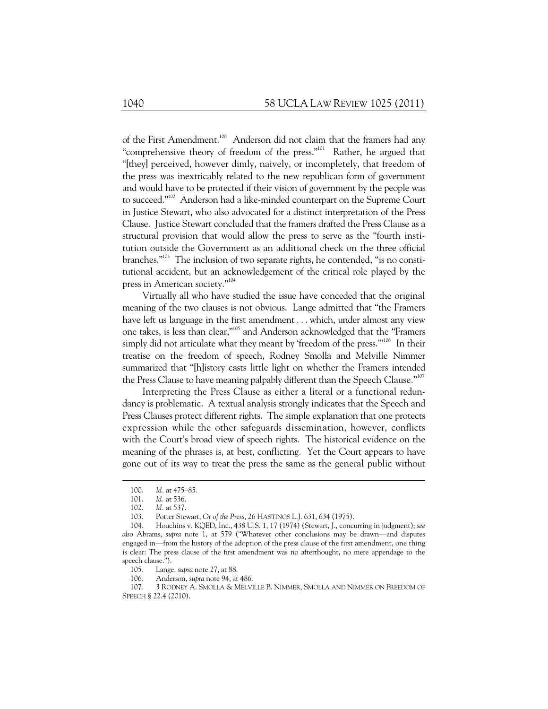of the First Amendment.<sup>100</sup> Anderson did not claim that the framers had any "comprehensive theory of freedom of the press."101 Rather, he argued that "[they] perceived, however dimly, naively, or incompletely, that freedom of the press was inextricably related to the new republican form of government and would have to be protected if their vision of government by the people was to succeed."<sup>102</sup> Anderson had a like-minded counterpart on the Supreme Court in Justice Stewart, who also advocated for a distinct interpretation of the Press Clause. Justice Stewart concluded that the framers drafted the Press Clause as a structural provision that would allow the press to serve as the "fourth institution outside the Government as an additional check on the three official branches."103 The inclusion of two separate rights, he contended, "is no constitutional accident, but an acknowledgement of the critical role played by the press in American society."<sup>104</sup>

Virtually all who have studied the issue have conceded that the original meaning of the two clauses is not obvious. Lange admitted that "the Framers have left us language in the first amendment . . . which, under almost any view one takes, is less than clear,"105 and Anderson acknowledged that the "Framers simply did not articulate what they meant by 'freedom of the press.""<sup>106</sup> In their treatise on the freedom of speech, Rodney Smolla and Melville Nimmer summarized that "[h]istory casts little light on whether the Framers intended the Press Clause to have meaning palpably different than the Speech Clause."<sup>107</sup>

Interpreting the Press Clause as either a literal or a functional redundancy is problematic. A textual analysis strongly indicates that the Speech and Press Clauses protect different rights. The simple explanation that one protects expression while the other safeguards dissemination, however, conflicts with the Court's broad view of speech rights. The historical evidence on the meaning of the phrases is, at best, conflicting. Yet the Court appears to have gone out of its way to treat the press the same as the general public without

 <sup>100.</sup> *Id.* at 475–85.

 <sup>101.</sup> *Id.* at 536.

 <sup>102.</sup> *Id.* at 537.

 <sup>103.</sup> Potter Stewart, *Or of the Press*, 26 HASTINGS L.J. 631, 634 (1975).

 <sup>104.</sup> Houchins v. KQED, Inc., 438 U.S. 1, 17 (1974) (Stewart, J., concurring in judgment); *see also* Abrams, *supra* note 1, at 579 ("Whatever other conclusions may be drawn—and disputes engaged in—from the history of the adoption of the press clause of the first amendment, one thing is clear: The press clause of the first amendment was no afterthought, no mere appendage to the speech clause.").

 <sup>105.</sup> Lange, *supra* note 27, at 88.

 <sup>106.</sup> Anderson, *supra* note 94, at 486.

 <sup>107. 3</sup> RODNEY A. SMOLLA & MELVILLE B. NIMMER, SMOLLA AND NIMMER ON FREEDOM OF SPEECH § 22.4 (2010).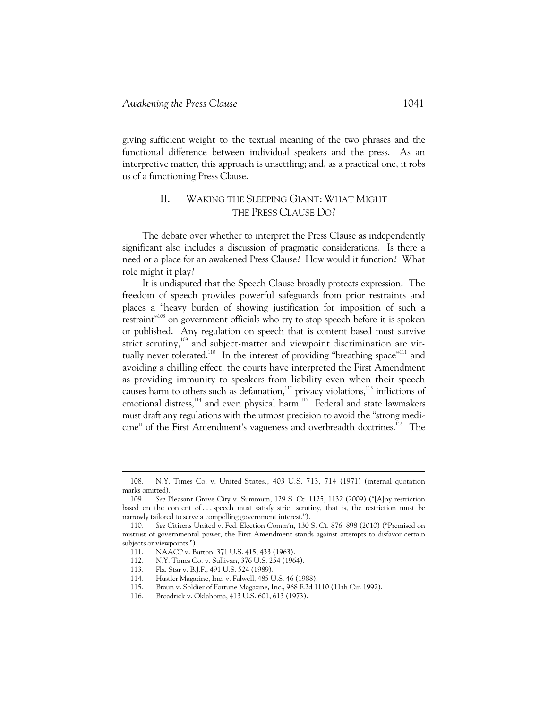giving sufficient weight to the textual meaning of the two phrases and the functional difference between individual speakers and the press. As an interpretive matter, this approach is unsettling; and, as a practical one, it robs us of a functioning Press Clause.

# II. WAKING THE SLEEPING GIANT: WHAT MIGHT THE PRESS CLAUSE DO?

The debate over whether to interpret the Press Clause as independently significant also includes a discussion of pragmatic considerations. Is there a need or a place for an awakened Press Clause? How would it function? What role might it play?

It is undisputed that the Speech Clause broadly protects expression. The freedom of speech provides powerful safeguards from prior restraints and places a "heavy burden of showing justification for imposition of such a restraint"<sup>108</sup> on government officials who try to stop speech before it is spoken or published. Any regulation on speech that is content based must survive strict scrutiny,<sup>109</sup> and subject-matter and viewpoint discrimination are virtually never tolerated.<sup>110</sup> In the interest of providing "breathing space"<sup>111</sup> and avoiding a chilling effect, the courts have interpreted the First Amendment as providing immunity to speakers from liability even when their speech causes harm to others such as defamation,<sup>112</sup> privacy violations,<sup>113</sup> inflictions of emotional distress,<sup>114</sup> and even physical harm.<sup>115</sup> Federal and state lawmakers must draft any regulations with the utmost precision to avoid the "strong medicine" of the First Amendment's vagueness and overbreadth doctrines.<sup>116</sup> The

 <sup>108.</sup> N.Y. Times Co. v. United States., 403 U.S. 713, 714 (1971) (internal quotation marks omitted).

 <sup>109.</sup> *See* Pleasant Grove City v. Summum, 129 S. Ct. 1125, 1132 (2009) ("[A]ny restriction based on the content of . . . speech must satisfy strict scrutiny, that is, the restriction must be narrowly tailored to serve a compelling government interest.").

 <sup>110.</sup> *See* Citizens United v. Fed. Election Comm'n, 130 S. Ct. 876, 898 (2010) ("Premised on mistrust of governmental power, the First Amendment stands against attempts to disfavor certain subjects or viewpoints.").

 <sup>111.</sup> NAACP v. Button, 371 U.S. 415, 433 (1963).

 <sup>112.</sup> N.Y. Times Co. v. Sullivan, 376 U.S. 254 (1964).

 <sup>113.</sup> Fla. Star v. B.J.F., 491 U.S. 524 (1989).

 <sup>114.</sup> Hustler Magazine, Inc. v. Falwell, 485 U.S. 46 (1988).

 <sup>115.</sup> Braun v. Soldier of Fortune Magazine, Inc., 968 F.2d 1110 (11th Cir. 1992).

 <sup>116.</sup> Broadrick v. Oklahoma, 413 U.S. 601, 613 (1973).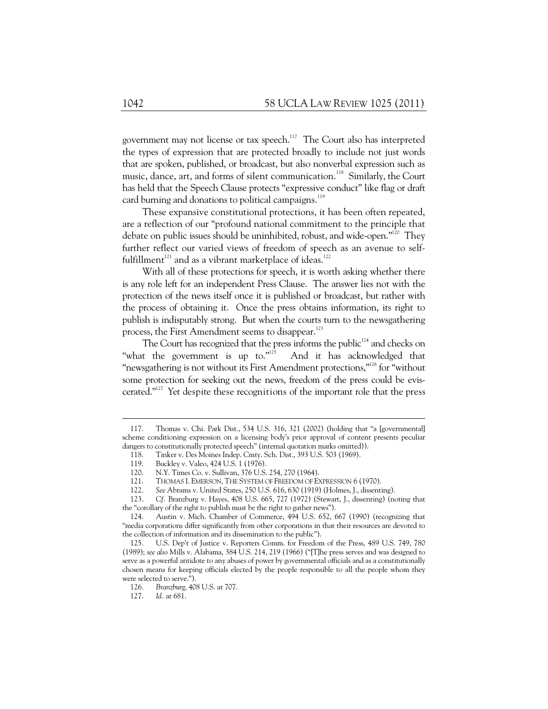government may not license or tax speech.<sup>117</sup> The Court also has interpreted the types of expression that are protected broadly to include not just words that are spoken, published, or broadcast, but also nonverbal expression such as music, dance, art, and forms of silent communication.<sup>118</sup> Similarly, the Court has held that the Speech Clause protects "expressive conduct" like flag or draft card burning and donations to political campaigns.<sup>119</sup>

These expansive constitutional protections, it has been often repeated, are a reflection of our "profound national commitment to the principle that debate on public issues should be uninhibited, robust, and wide-open."<sup>120</sup> They further reflect our varied views of freedom of speech as an avenue to selffulfillment<sup>121</sup> and as a vibrant marketplace of ideas.<sup>122</sup>

With all of these protections for speech, it is worth asking whether there is any role left for an independent Press Clause. The answer lies not with the protection of the news itself once it is published or broadcast, but rather with the process of obtaining it. Once the press obtains information, its right to publish is indisputably strong. But when the courts turn to the newsgathering process, the First Amendment seems to disappear.<sup>123</sup>

The Court has recognized that the press informs the public<sup>124</sup> and checks on "what the government is up to."<sup>125</sup> And it has acknowledged that "newsgathering is not without its First Amendment protections,"<sup>126</sup> for "without some protection for seeking out the news, freedom of the press could be eviscerated."<sup>127</sup> Yet despite these recognitions of the important role that the press

 <sup>117.</sup> Thomas v. Chi. Park Dist., 534 U.S. 316, 321 (2002) (holding that "a [governmental] scheme conditioning expression on a licensing body's prior approval of content presents peculiar dangers to constitutionally protected speech" (internal quotation marks omitted)).

 <sup>118.</sup> Tinker v. Des Moines Indep. Cmty. Sch. Dist., 393 U.S. 503 (1969).

 <sup>119.</sup> Buckley v. Valeo, 424 U.S. 1 (1976).

 <sup>120.</sup> N.Y. Times Co. v. Sullivan, 376 U.S. 254, 270 (1964).

 <sup>121.</sup> THOMAS I. EMERSON, THE SYSTEM OF FREEDOM OF EXPRESSION 6 (1970).

 <sup>122.</sup> *See* Abrams v. United States, 250 U.S. 616, 630 (1919) (Holmes, J., dissenting).

 <sup>123.</sup> *Cf.* Branzburg v. Hayes, 408 U.S. 665, 727 (1972) (Stewart, J., dissenting) (noting that the "corollary of the right to publish must be the right to gather news").

 <sup>124.</sup> Austin v. Mich. Chamber of Commerce, 494 U.S. 652, 667 (1990) (recognizing that "media corporations differ significantly from other corporations in that their resources are devoted to the collection of information and its dissemination to the public").

 <sup>125.</sup> U.S. Dep't of Justice v. Reporters Comm. for Freedom of the Press, 489 U.S. 749, 780 (1989); *see also* Mills v. Alabama, 384 U.S. 214, 219 (1966) ("[T]he press serves and was designed to serve as a powerful antidote to any abuses of power by governmental officials and as a constitutionally chosen means for keeping officials elected by the people responsible to all the people whom they were selected to serve.").

 <sup>126.</sup> *Branzburg*, 408 U.S. at 707.

 <sup>127.</sup> *Id.* at 681.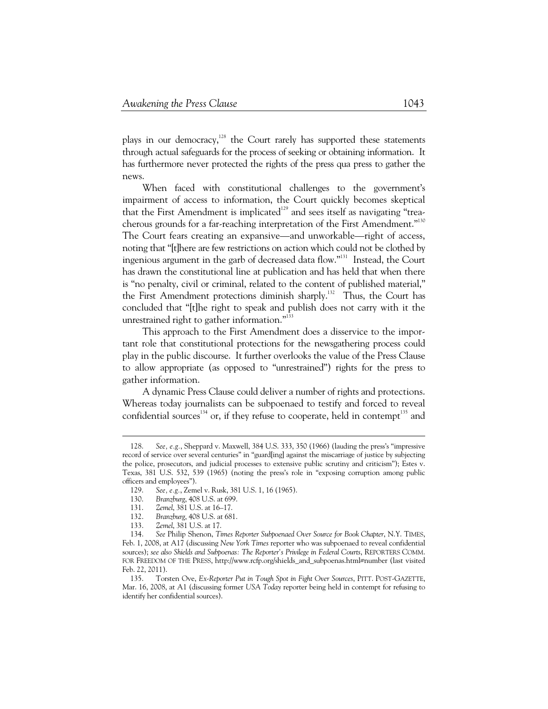plays in our democracy,<sup>128</sup> the Court rarely has supported these statements through actual safeguards for the process of seeking or obtaining information. It has furthermore never protected the rights of the press qua press to gather the news.

When faced with constitutional challenges to the government's impairment of access to information, the Court quickly becomes skeptical that the First Amendment is implicated<sup>129</sup> and sees itself as navigating "treacherous grounds for a far-reaching interpretation of the First Amendment."<sup>130</sup> The Court fears creating an expansive—and unworkable—right of access, noting that "[t]here are few restrictions on action which could not be clothed by ingenious argument in the garb of decreased data flow."131 Instead, the Court has drawn the constitutional line at publication and has held that when there is "no penalty, civil or criminal, related to the content of published material," the First Amendment protections diminish sharply.<sup>132</sup> Thus, the Court has concluded that "[t]he right to speak and publish does not carry with it the unrestrained right to gather information."<sup>133</sup>

This approach to the First Amendment does a disservice to the important role that constitutional protections for the newsgathering process could play in the public discourse. It further overlooks the value of the Press Clause to allow appropriate (as opposed to "unrestrained") rights for the press to gather information.

A dynamic Press Clause could deliver a number of rights and protections. Whereas today journalists can be subpoenaed to testify and forced to reveal confidential sources<sup>134</sup> or, if they refuse to cooperate, held in contempt<sup>135</sup> and

 <sup>128.</sup> *See, e.g.*, Sheppard v. Maxwell, 384 U.S. 333, 350 (1966) (lauding the press's "impressive record of service over several centuries" in "guard[ing] against the miscarriage of justice by subjecting the police, prosecutors, and judicial processes to extensive public scrutiny and criticism"); Estes v. Texas, 381 U.S. 532, 539 (1965) (noting the press's role in "exposing corruption among public officers and employees").

 <sup>129.</sup> *See, e.g.*, Zemel v. Rusk, 381 U.S. 1, 16 (1965).

 <sup>130.</sup> *Branzburg*, 408 U.S. at 699.

 <sup>131.</sup> *Zemel*, 381 U.S. at 16–17.

 <sup>132.</sup> *Branzburg*, 408 U.S. at 681.

 <sup>133.</sup> *Zemel*, 381 U.S. at 17.

 <sup>134.</sup> *See* Philip Shenon, *Times Reporter Subpoenaed Over Source for Book Chapter*, N.Y. TIMES, Feb. 1, 2008, at A17 (discussing *New York Times* reporter who was subpoenaed to reveal confidential sources); *see also Shields and Subpoenas: The Reporter's Privilege in Federal Courts*, REPORTERS COMM. FOR FREEDOM OF THE PRESS, http://www.rcfp.org/shields\_and\_subpoenas.html#number (last visited Feb. 22, 2011).

 <sup>135.</sup> Torsten Ove, *Ex-Reporter Put in Tough Spot in Fight Over Sources*, PITT. POST-GAZETTE, Mar. 16, 2008, at A1 (discussing former *USA Today* reporter being held in contempt for refusing to identify her confidential sources).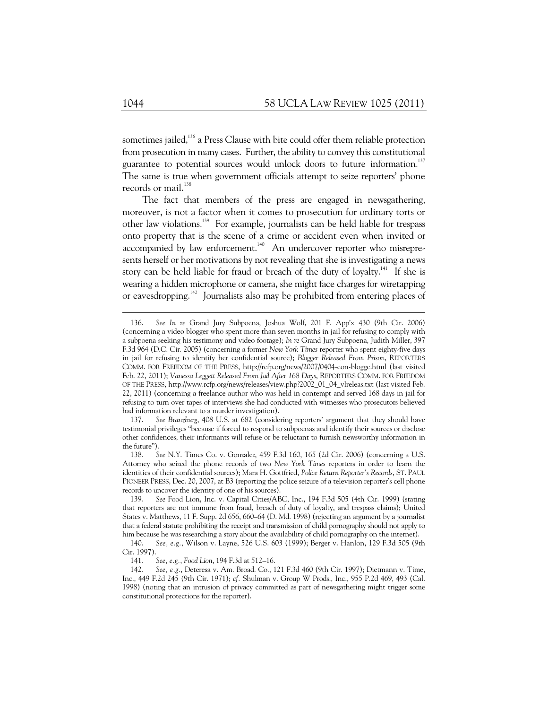sometimes jailed,<sup>136</sup> a Press Clause with bite could offer them reliable protection from prosecution in many cases. Further, the ability to convey this constitutional guarantee to potential sources would unlock doors to future information.<sup>137</sup> The same is true when government officials attempt to seize reporters' phone records or mail.<sup>138</sup>

The fact that members of the press are engaged in newsgathering, moreover, is not a factor when it comes to prosecution for ordinary torts or other law violations.139 For example, journalists can be held liable for trespass onto property that is the scene of a crime or accident even when invited or accompanied by law enforcement.<sup>140</sup> An undercover reporter who misrepresents herself or her motivations by not revealing that she is investigating a news story can be held liable for fraud or breach of the duty of loyalty.<sup>141</sup> If she is wearing a hidden microphone or camera, she might face charges for wiretapping or eavesdropping.<sup>142</sup> Journalists also may be prohibited from entering places of

 <sup>136.</sup> *See In re* Grand Jury Subpoena, Joshua Wolf, 201 F. App'x 430 (9th Cir. 2006) (concerning a video blogger who spent more than seven months in jail for refusing to comply with a subpoena seeking his testimony and video footage); *In re* Grand Jury Subpoena, Judith Miller, 397 F.3d 964 (D.C. Cir. 2005) (concerning a former *New York Times* reporter who spent eighty-five days in jail for refusing to identify her confidential source); *Blogger Released From Prison*, REPORTERS COMM. FOR FREEDOM OF THE PRESS, http://rcfp.org/news/2007/0404-con-blogge.html (last visited Feb. 22, 2011); *Vanessa Leggett Released From Jail After 168 Days*, REPORTERS COMM. FOR FREEDOM OF THE PRESS, http://www.rcfp.org/news/releases/view.php?2002\_01\_04\_vlreleas.txt (last visited Feb. 22, 2011) (concerning a freelance author who was held in contempt and served 168 days in jail for refusing to turn over tapes of interviews she had conducted with witnesses who prosecutors believed had information relevant to a murder investigation).

 <sup>137.</sup> *See Branzburg*, 408 U.S. at 682 (considering reporters' argument that they should have testimonial privileges "because if forced to respond to subpoenas and identify their sources or disclose other confidences, their informants will refuse or be reluctant to furnish newsworthy information in the future").

 <sup>138.</sup> *See* N.Y. Times Co. v. Gonzalez, 459 F.3d 160, 165 (2d Cir. 2006) (concerning a U.S. Attorney who seized the phone records of two *New York Times* reporters in order to learn the identities of their confidential sources); Mara H. Gottfried, *Police Return Reporter's Records*, ST. PAUL PIONEER PRESS, Dec. 20, 2007, at B3 (reporting the police seizure of a television reporter's cell phone records to uncover the identity of one of his sources).<br>139. See Food Lion, Inc. v. Capital Cities/AB

 <sup>139.</sup> *See* Food Lion, Inc. v. Capital Cities/ABC, Inc., 194 F.3d 505 (4th Cir. 1999) (stating that reporters are not immune from fraud, breach of duty of loyalty, and trespass claims); United States v. Matthews, 11 F. Supp. 2d 656, 660–64 (D. Md. 1998) (rejecting an argument by a journalist that a federal statute prohibiting the receipt and transmission of child pornography should not apply to him because he was researching a story about the availability of child pornography on the internet).

 <sup>140.</sup> *See, e.g.*, Wilson v. Layne, 526 U.S. 603 (1999); Berger v. Hanlon, 129 F.3d 505 (9th Cir. 1997).

 <sup>141.</sup> *See, e.g.*, *Food Lion*, 194 F.3d at 512–16.

 <sup>142.</sup> *See, e.g.*, Deteresa v. Am. Broad. Co., 121 F.3d 460 (9th Cir. 1997); Dietmann v. Time, Inc., 449 F.2d 245 (9th Cir. 1971); *cf.* Shulman v. Group W Prods., Inc., 955 P.2d 469, 493 (Cal. 1998) (noting that an intrusion of privacy committed as part of newsgathering might trigger some constitutional protections for the reporter).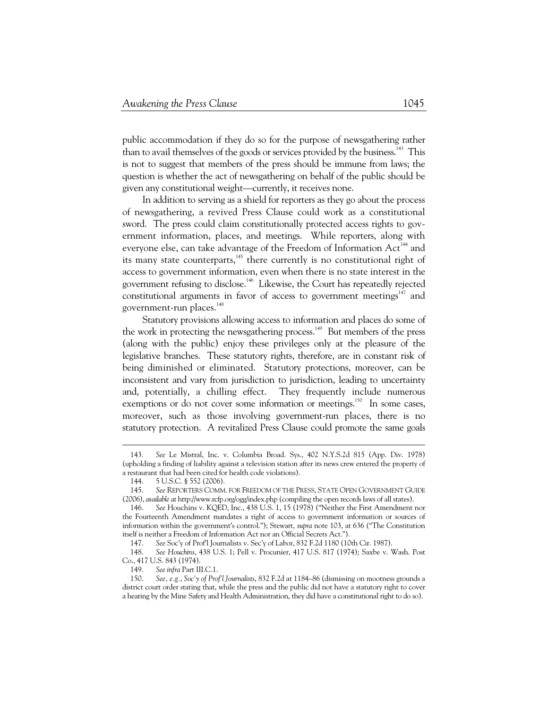public accommodation if they do so for the purpose of newsgathering rather than to avail themselves of the goods or services provided by the business.<sup>143</sup> This is not to suggest that members of the press should be immune from laws; the question is whether the act of newsgathering on behalf of the public should be given any constitutional weight—currently, it receives none.

In addition to serving as a shield for reporters as they go about the process of newsgathering, a revived Press Clause could work as a constitutional sword. The press could claim constitutionally protected access rights to government information, places, and meetings. While reporters, along with everyone else, can take advantage of the Freedom of Information Act<sup>144</sup> and its many state counterparts, $145$  there currently is no constitutional right of access to government information, even when there is no state interest in the government refusing to disclose.<sup>146</sup> Likewise, the Court has repeatedly rejected constitutional arguments in favor of access to government meetings $147$  and government-run places.<sup>148</sup>

Statutory provisions allowing access to information and places do some of the work in protecting the newsgathering process.<sup>149</sup> But members of the press (along with the public) enjoy these privileges only at the pleasure of the legislative branches. These statutory rights, therefore, are in constant risk of being diminished or eliminated. Statutory protections, moreover, can be inconsistent and vary from jurisdiction to jurisdiction, leading to uncertainty and, potentially, a chilling effect. They frequently include numerous exemptions or do not cover some information or meetings.<sup>150</sup> In some cases, moreover, such as those involving government-run places, there is no statutory protection. A revitalized Press Clause could promote the same goals

 <sup>143.</sup> *See* Le Mistral, Inc. v. Columbia Broad. Sys., 402 N.Y.S.2d 815 (App. Div. 1978) (upholding a finding of liability against a television station after its news crew entered the property of a restaurant that had been cited for health code violations).

 <sup>144. 5</sup> U.S.C. § 552 (2006).

 <sup>145.</sup> *See* REPORTERS COMM. FOR FREEDOM OF THE PRESS, STATE OPEN GOVERNMENT GUIDE (2006), *available at* http://www.rcfp.org/ogg/index.php (compiling the open records laws of all states).

 <sup>146.</sup> *See* Houchins v. KQED, Inc., 438 U.S. 1, 15 (1978) ("Neither the First Amendment nor the Fourteenth Amendment mandates a right of access to government information or sources of information within the government's control."); Stewart, *supra* note 103, at 636 ("The Constitution itself is neither a Freedom of Information Act nor an Official Secrets Act.").

 <sup>147.</sup> *See* Soc'y of Prof'l Journalists v. Sec'y of Labor, 832 F.2d 1180 (10th Cir. 1987).

 <sup>148.</sup> *See Houchins*, 438 U.S. 1; Pell v. Procunier, 417 U.S. 817 (1974); Saxbe v. Wash. Post Co., 417 U.S. 843 (1974).

 <sup>149.</sup> *See infra* Part III.C.1.

 <sup>150.</sup> *See, e.g.*, *Soc'y of Prof'l Journalists*, 832 F.2d at 1184–86 (dismissing on mootness grounds a district court order stating that, while the press and the public did not have a statutory right to cover a hearing by the Mine Safety and Health Administration, they did have a constitutional right to do so).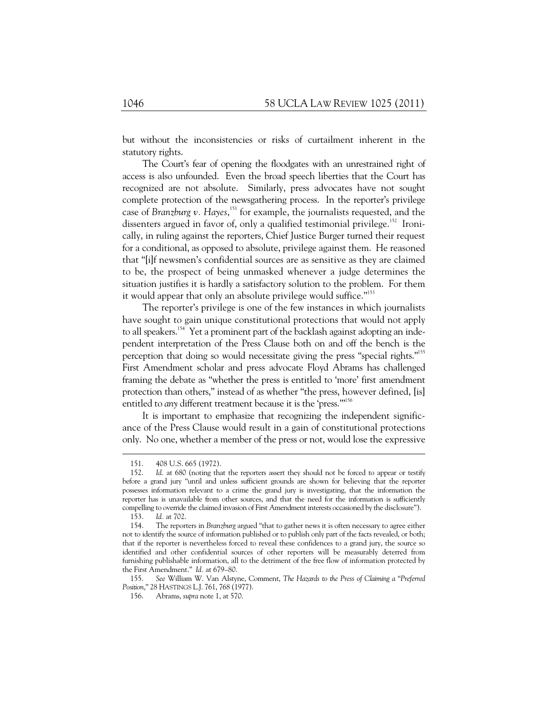but without the inconsistencies or risks of curtailment inherent in the statutory rights.

The Court's fear of opening the floodgates with an unrestrained right of access is also unfounded. Even the broad speech liberties that the Court has recognized are not absolute. Similarly, press advocates have not sought complete protection of the newsgathering process. In the reporter's privilege case of *Branzburg v. Hayes*, 151 for example, the journalists requested, and the dissenters argued in favor of, only a qualified testimonial privilege.<sup>152</sup> Ironically, in ruling against the reporters, Chief Justice Burger turned their request for a conditional, as opposed to absolute, privilege against them. He reasoned that "[i]f newsmen's confidential sources are as sensitive as they are claimed to be, the prospect of being unmasked whenever a judge determines the situation justifies it is hardly a satisfactory solution to the problem. For them it would appear that only an absolute privilege would suffice."<sup>153</sup>

The reporter's privilege is one of the few instances in which journalists have sought to gain unique constitutional protections that would not apply to all speakers.<sup>154</sup> Yet a prominent part of the backlash against adopting an independent interpretation of the Press Clause both on and off the bench is the perception that doing so would necessitate giving the press "special rights."<sup>155</sup> First Amendment scholar and press advocate Floyd Abrams has challenged framing the debate as "whether the press is entitled to 'more' first amendment protection than others," instead of as whether "the press, however defined, [is] entitled to *any* different treatment because it is the 'press."<sup>156</sup>

It is important to emphasize that recognizing the independent significance of the Press Clause would result in a gain of constitutional protections only. No one, whether a member of the press or not, would lose the expressive

 <sup>151. 408</sup> U.S. 665 (1972).

 <sup>152.</sup> *Id.* at 680 (noting that the reporters assert they should not be forced to appear or testify before a grand jury "until and unless sufficient grounds are shown for believing that the reporter possesses information relevant to a crime the grand jury is investigating, that the information the reporter has is unavailable from other sources, and that the need for the information is sufficiently compelling to override the claimed invasion of First Amendment interests occasioned by the disclosure").

 <sup>153.</sup> *Id.* at 702.

 <sup>154.</sup> The reporters in *Branzburg* argued "that to gather news it is often necessary to agree either not to identify the source of information published or to publish only part of the facts revealed, or both; that if the reporter is nevertheless forced to reveal these confidences to a grand jury, the source so identified and other confidential sources of other reporters will be measurably deterred from furnishing publishable information, all to the detriment of the free flow of information protected by the First Amendment." *Id.* at 679–80.

 <sup>155.</sup> *See* William W. Van Alstyne, Comment, *The Hazards to the Press of Claiming a* "*Preferred Position*," 28 HASTINGS L.J. 761, 768 (1977).

 <sup>156.</sup> Abrams, *supra* note 1, at 570.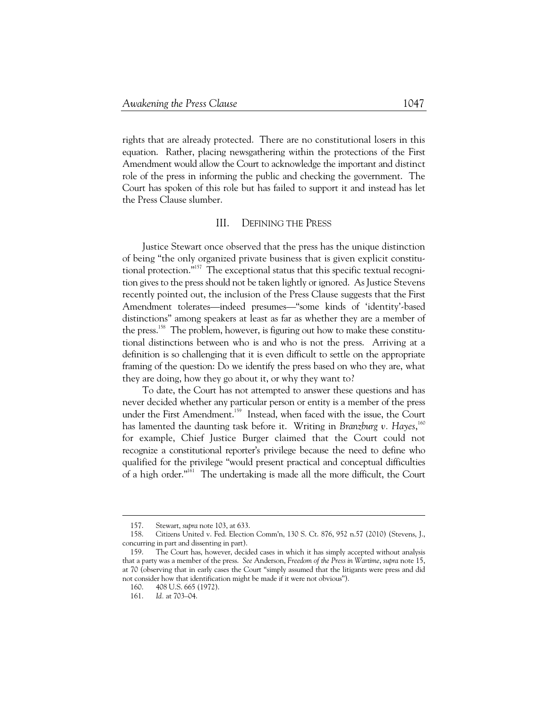rights that are already protected. There are no constitutional losers in this equation. Rather, placing newsgathering within the protections of the First Amendment would allow the Court to acknowledge the important and distinct role of the press in informing the public and checking the government. The Court has spoken of this role but has failed to support it and instead has let the Press Clause slumber.

## III. DEFINING THE PRESS

Justice Stewart once observed that the press has the unique distinction of being "the only organized private business that is given explicit constitutional protection."<sup>157</sup> The exceptional status that this specific textual recognition gives to the press should not be taken lightly or ignored. As Justice Stevens recently pointed out, the inclusion of the Press Clause suggests that the First Amendment tolerates—indeed presumes—"some kinds of 'identity'-based distinctions" among speakers at least as far as whether they are a member of the press.<sup>158</sup> The problem, however, is figuring out how to make these constitutional distinctions between who is and who is not the press. Arriving at a definition is so challenging that it is even difficult to settle on the appropriate framing of the question: Do we identify the press based on who they are, what they are doing, how they go about it, or why they want to?

To date, the Court has not attempted to answer these questions and has never decided whether any particular person or entity is a member of the press under the First Amendment.<sup>159</sup> Instead, when faced with the issue, the Court has lamented the daunting task before it. Writing in *Branzburg v. Hayes*, 160 for example, Chief Justice Burger claimed that the Court could not recognize a constitutional reporter's privilege because the need to define who qualified for the privilege "would present practical and conceptual difficulties of a high order."161 The undertaking is made all the more difficult, the Court

 <sup>157.</sup> Stewart, *supra* note 103, at 633.

 <sup>158.</sup> Citizens United v. Fed. Election Comm'n, 130 S. Ct. 876, 952 n.57 (2010) (Stevens, J., concurring in part and dissenting in part).

 <sup>159.</sup> The Court has, however, decided cases in which it has simply accepted without analysis that a party was a member of the press. *See* Anderson, *Freedom of the Press in Wartime*, *supra* note 15, at 70 (observing that in early cases the Court "simply assumed that the litigants were press and did not consider how that identification might be made if it were not obvious").

 <sup>160. 408</sup> U.S. 665 (1972).

 <sup>161.</sup> *Id.* at 703–04.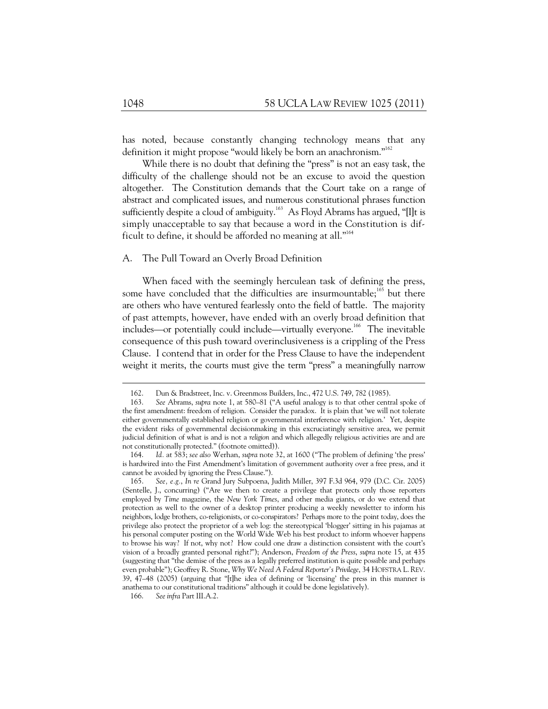has noted, because constantly changing technology means that any definition it might propose "would likely be born an anachronism."<sup>162</sup>

While there is no doubt that defining the "press" is not an easy task, the difficulty of the challenge should not be an excuse to avoid the question altogether. The Constitution demands that the Court take on a range of abstract and complicated issues, and numerous constitutional phrases function sufficiently despite a cloud of ambiguity.<sup>163</sup> As Floyd Abrams has argued, "[I]t is simply unacceptable to say that because a word in the Constitution is difficult to define, it should be afforded no meaning at all."<sup>164</sup>

#### A. The Pull Toward an Overly Broad Definition

When faced with the seemingly herculean task of defining the press, some have concluded that the difficulties are insurmountable;<sup>165</sup> but there are others who have ventured fearlessly onto the field of battle. The majority of past attempts, however, have ended with an overly broad definition that includes—or potentially could include—virtually everyone.<sup>166</sup> The inevitable consequence of this push toward overinclusiveness is a crippling of the Press Clause. I contend that in order for the Press Clause to have the independent weight it merits, the courts must give the term "press" a meaningfully narrow

 <sup>162.</sup> Dun & Bradstreet, Inc. v. Greenmoss Builders, Inc., 472 U.S. 749, 782 (1985).

 <sup>163.</sup> *See* Abrams, *supra* note 1, at 580–81 ("A useful analogy is to that other central spoke of the first amendment: freedom of religion. Consider the paradox. It is plain that 'we will not tolerate either governmentally established religion or governmental interference with religion.' Yet, despite the evident risks of governmental decisionmaking in this excruciatingly sensitive area, we permit judicial definition of what is and is not a *religion* and which allegedly religious activities are and are not constitutionally protected." (footnote omitted)).

 <sup>164.</sup> *Id.* at 583; *see also* Werhan, *supra* note 32, at 1600 ("The problem of defining 'the press' is hardwired into the First Amendment's limitation of government authority over a free press, and it cannot be avoided by ignoring the Press Clause.").

 <sup>165.</sup> *See, e.g.*, *In re* Grand Jury Subpoena, Judith Miller, 397 F.3d 964, 979 (D.C. Cir. 2005) (Sentelle, J., concurring) ("Are we then to create a privilege that protects only those reporters employed by *Time* magazine, the *New York Times*, and other media giants, or do we extend that protection as well to the owner of a desktop printer producing a weekly newsletter to inform his neighbors, lodge brothers, co-religionists, or co-conspirators? Perhaps more to the point today, does the privilege also protect the proprietor of a web log: the stereotypical 'blogger' sitting in his pajamas at his personal computer posting on the World Wide Web his best product to inform whoever happens to browse his way? If not, why not? How could one draw a distinction consistent with the court's vision of a broadly granted personal right?"); Anderson, *Freedom of the Press*, *supra* note 15, at 435 (suggesting that "the demise of the press as a legally preferred institution is quite possible and perhaps even probable"); Geoffrey R. Stone, *Why We Need A Federal Reporter's Privilege*, 34 HOFSTRA L. REV. 39, 47–48 (2005) (arguing that "[t]he idea of defining or 'licensing' the press in this manner is anathema to our constitutional traditions" although it could be done legislatively).

 <sup>166.</sup> *See infra* Part III.A.2.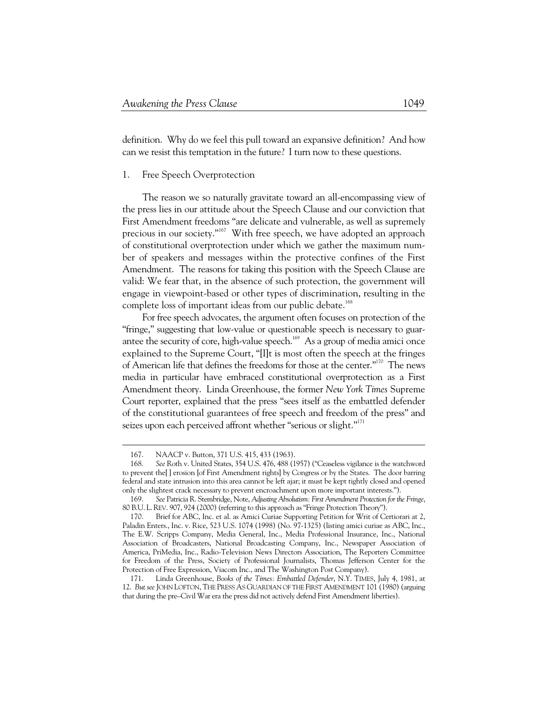definition. Why do we feel this pull toward an expansive definition? And how can we resist this temptation in the future? I turn now to these questions.

#### 1. Free Speech Overprotection

The reason we so naturally gravitate toward an all-encompassing view of the press lies in our attitude about the Speech Clause and our conviction that First Amendment freedoms "are delicate and vulnerable, as well as supremely precious in our society."<sup>167</sup> With free speech, we have adopted an approach of constitutional overprotection under which we gather the maximum number of speakers and messages within the protective confines of the First Amendment. The reasons for taking this position with the Speech Clause are valid: We fear that, in the absence of such protection, the government will engage in viewpoint-based or other types of discrimination, resulting in the complete loss of important ideas from our public debate.<sup>168</sup>

For free speech advocates, the argument often focuses on protection of the "fringe," suggesting that low-value or questionable speech is necessary to guarantee the security of core, high-value speech.<sup>169</sup> As a group of media amici once explained to the Supreme Court, "[I]t is most often the speech at the fringes of American life that defines the freedoms for those at the center."<sup>170</sup> The news media in particular have embraced constitutional overprotection as a First Amendment theory. Linda Greenhouse, the former *New York Times* Supreme Court reporter, explained that the press "sees itself as the embattled defender of the constitutional guarantees of free speech and freedom of the press" and seizes upon each perceived affront whether "serious or slight."<sup>171</sup>

 <sup>167.</sup> NAACP v. Button, 371 U.S. 415, 433 (1963).

 <sup>168.</sup> *See* Roth v. United States, 354 U.S. 476, 488 (1957) ("Ceaseless vigilance is the watchword to prevent the[ ] erosion [of First Amendment rights] by Congress or by the States. The door barring federal and state intrusion into this area cannot be left ajar; it must be kept tightly closed and opened only the slightest crack necessary to prevent encroachment upon more important interests.").

 <sup>169.</sup> *See* Patricia R. Stembridge, Note, *Adjusting Absolutism: First Amendment Protection for the Fringe*, 80 B.U. L.REV. 907, 924 (2000) (referring to this approach as "Fringe Protection Theory").

 <sup>170.</sup> Brief for ABC, Inc. et al. as Amici Curiae Supporting Petition for Writ of Certiorari at 2, Paladin Enters., Inc. v. Rice, 523 U.S. 1074 (1998) (No. 97-1325) (listing amici curiae as ABC, Inc., The E.W. Scripps Company, Media General, Inc., Media Professional Insurance, Inc., National Association of Broadcasters, National Broadcasting Company, Inc., Newspaper Association of America, PriMedia, Inc., Radio-Television News Directors Association, The Reporters Committee for Freedom of the Press, Society of Professional Journalists, Thomas Jefferson Center for the Protection of Free Expression, Viacom Inc., and The Washington Post Company).

 <sup>171.</sup> Linda Greenhouse, *Books of the Times: Embattled Defender*, N.Y. TIMES, July 4, 1981, at 12. *But see* JOHN LOFTON,THE PRESS AS GUARDIAN OF THE FIRST AMENDMENT 101 (1980) (arguing that during the pre–Civil War era the press did not actively defend First Amendment liberties).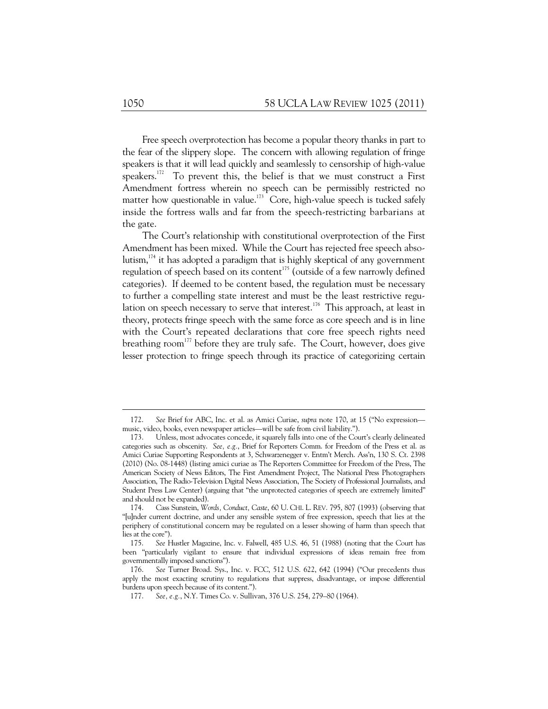Free speech overprotection has become a popular theory thanks in part to the fear of the slippery slope. The concern with allowing regulation of fringe speakers is that it will lead quickly and seamlessly to censorship of high-value speakers.<sup>172</sup> To prevent this, the belief is that we must construct a First Amendment fortress wherein no speech can be permissibly restricted no matter how questionable in value.<sup>173</sup> Core, high-value speech is tucked safely inside the fortress walls and far from the speech-restricting barbarians at the gate.

The Court's relationship with constitutional overprotection of the First Amendment has been mixed. While the Court has rejected free speech absolutism,  $174$  it has adopted a paradigm that is highly skeptical of any government regulation of speech based on its content<sup>175</sup> (outside of a few narrowly defined categories). If deemed to be content based, the regulation must be necessary to further a compelling state interest and must be the least restrictive regulation on speech necessary to serve that interest.<sup>176</sup> This approach, at least in theory, protects fringe speech with the same force as core speech and is in line with the Court's repeated declarations that core free speech rights need breathing room<sup>177</sup> before they are truly safe. The Court, however, does give lesser protection to fringe speech through its practice of categorizing certain

 <sup>172.</sup> *See* Brief for ABC, Inc. et al. as Amici Curiae, *supra* note 170, at 15 ("No expression music, video, books, even newspaper articles—will be safe from civil liability.").

 <sup>173.</sup> Unless, most advocates concede, it squarely falls into one of the Court's clearly delineated categories such as obscenity. *See, e.g.*, Brief for Reporters Comm. for Freedom of the Press et al. as Amici Curiae Supporting Respondents at 3, Schwarzenegger v. Entm't Merch. Ass'n, 130 S. Ct. 2398 (2010) (No. 08-1448) (listing amici curiae as The Reporters Committee for Freedom of the Press, The American Society of News Editors, The First Amendment Project, The National Press Photographers Association, The Radio-Television Digital News Association, The Society of Professional Journalists, and Student Press Law Center) (arguing that "the unprotected categories of speech are extremely limited" and should not be expanded).

 <sup>174.</sup> Cass Sunstein, *Words, Conduct, Caste*, 60 U. CHI. L. REV. 795, 807 (1993) (observing that "[u]nder current doctrine, and under any sensible system of free expression, speech that lies at the periphery of constitutional concern may be regulated on a lesser showing of harm than speech that lies at the core").

 <sup>175.</sup> *See* Hustler Magazine, Inc. v. Falwell, 485 U.S. 46, 51 (1988) (noting that the Court has been "particularly vigilant to ensure that individual expressions of ideas remain free from governmentally imposed sanctions").

 <sup>176.</sup> *See* Turner Broad. Sys., Inc. v. FCC, 512 U.S. 622, 642 (1994) ("Our precedents thus apply the most exacting scrutiny to regulations that suppress, disadvantage, or impose differential burdens upon speech because of its content.").

 <sup>177.</sup> *See, e.g.*, N.Y. Times Co. v. Sullivan, 376 U.S. 254, 279–80 (1964).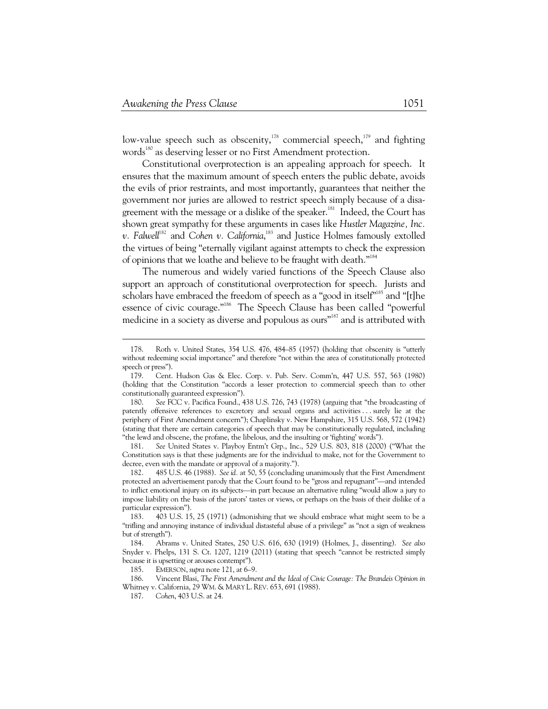-

low-value speech such as obscenity, $178$  commercial speech, $179$  and fighting words<sup>180</sup> as deserving lesser or no First Amendment protection.

Constitutional overprotection is an appealing approach for speech. It ensures that the maximum amount of speech enters the public debate, avoids the evils of prior restraints, and most importantly, guarantees that neither the government nor juries are allowed to restrict speech simply because of a disagreement with the message or a dislike of the speaker.<sup>181</sup> Indeed, the Court has shown great sympathy for these arguments in cases like *Hustler Magazine, Inc.*  v. Falwell<sup>182</sup> and Cohen v. California,<sup>183</sup> and Justice Holmes famously extolled the virtues of being "eternally vigilant against attempts to check the expression of opinions that we loathe and believe to be fraught with death."184

The numerous and widely varied functions of the Speech Clause also support an approach of constitutional overprotection for speech. Jurists and scholars have embraced the freedom of speech as a "good in itself"<sup>185</sup> and "[t]he essence of civic courage."186 The Speech Clause has been called "powerful medicine in a society as diverse and populous as ours"<sup>187</sup> and is attributed with

 181. *See* United States v. Playboy Entm't Grp., Inc., 529 U.S. 803, 818 (2000) ("What the Constitution says is that these judgments are for the individual to make, not for the Government to decree, even with the mandate or approval of a majority.").

 182. 485 U.S. 46 (1988). *See id.* at 50, 55 (concluding unanimously that the First Amendment protected an advertisement parody that the Court found to be "gross and repugnant"—and intended to inflict emotional injury on its subjects—in part because an alternative ruling "would allow a jury to impose liability on the basis of the jurors' tastes or views, or perhaps on the basis of their dislike of a particular expression").

 183. 403 U.S. 15, 25 (1971) (admonishing that we should embrace what might seem to be a "trifling and annoying instance of individual distasteful abuse of a privilege" as "not a sign of weakness but of strength").

 184. Abrams v. United States, 250 U.S. 616, 630 (1919) (Holmes, J., dissenting). *See also* Snyder v. Phelps, 131 S. Ct. 1207, 1219 (2011) (stating that speech "cannot be restricted simply because it is upsetting or arouses contempt").

185. EMERSON, *supra* note 121, at 6–9.

 186. Vincent Blasi, *The First Amendment and the Ideal of Civic Courage: The Brandeis Opinion in*  Whitney v. California, 29 WM. & MARY L. REV. 653, 691 (1988).

187. *Cohen*, 403 U.S. at 24.

 <sup>178.</sup> Roth v. United States, 354 U.S. 476, 484–85 (1957) (holding that obscenity is "utterly without redeeming social importance" and therefore "not within the area of constitutionally protected speech or press").

 <sup>179.</sup> Cent. Hudson Gas & Elec. Corp. v. Pub. Serv. Comm'n, 447 U.S. 557, 563 (1980) (holding that the Constitution "accords a lesser protection to commercial speech than to other constitutionally guaranteed expression").

 <sup>180.</sup> *See* FCC v. Pacifica Found., 438 U.S. 726, 743 (1978) (arguing that "the broadcasting of patently offensive references to excretory and sexual organs and activities . . . surely lie at the periphery of First Amendment concern"); Chaplinsky v. New Hampshire, 315 U.S. 568, 572 (1942) (stating that there are certain categories of speech that may be constitutionally regulated, including "the lewd and obscene, the profane, the libelous, and the insulting or 'fighting' words").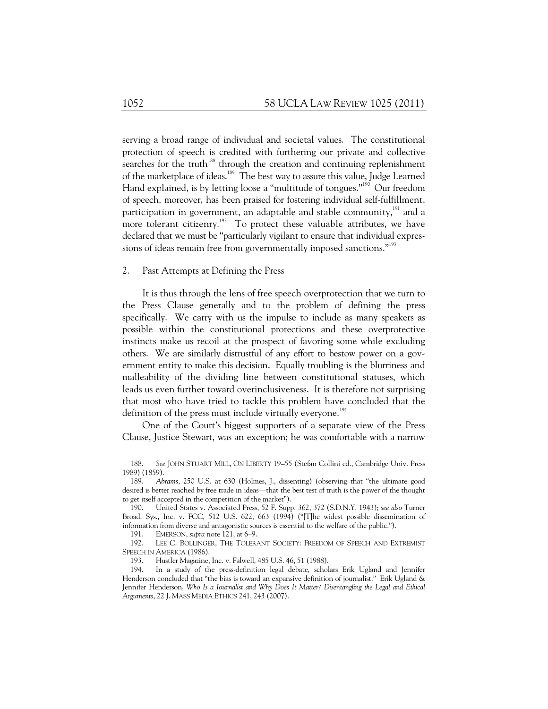serving a broad range of individual and societal values. The constitutional protection of speech is credited with furthering our private and collective searches for the truth<sup>188</sup> through the creation and continuing replenishment of the marketplace of ideas.189 The best way to assure this value, Judge Learned Hand explained, is by letting loose a "multitude of tongues."<sup>190</sup> Our freedom of speech, moreover, has been praised for fostering individual self-fulfillment, participation in government, an adaptable and stable community, $191$  and a more tolerant citizenry.<sup>192</sup> To protect these valuable attributes, we have declared that we must be "particularly vigilant to ensure that individual expressions of ideas remain free from governmentally imposed sanctions."<sup>193</sup>

#### 2. Past Attempts at Defining the Press

It is thus through the lens of free speech overprotection that we turn to the Press Clause generally and to the problem of defining the press specifically. We carry with us the impulse to include as many speakers as possible within the constitutional protections and these overprotective instincts make us recoil at the prospect of favoring some while excluding others. We are similarly distrustful of any effort to bestow power on a government entity to make this decision. Equally troubling is the blurriness and malleability of the dividing line between constitutional statuses, which leads us even further toward overinclusiveness. It is therefore not surprising that most who have tried to tackle this problem have concluded that the definition of the press must include virtually everyone.<sup>194</sup>

One of the Court's biggest supporters of a separate view of the Press Clause, Justice Stewart, was an exception; he was comfortable with a narrow

 <sup>188.</sup> *See* JOHN STUART MILL, ON LIBERTY 19–55 (Stefan Collini ed., Cambridge Univ. Press 1989) (1859).

 <sup>189.</sup> *Abrams*, 250 U.S. at 630 (Holmes, J., dissenting) (observing that "the ultimate good desired is better reached by free trade in ideas—that the best test of truth is the power of the thought to get itself accepted in the competition of the market").

 <sup>190.</sup> United States v. Associated Press, 52 F. Supp. 362, 372 (S.D.N.Y. 1943); *see also* Turner Broad. Sys., Inc. v. FCC, 512 U.S. 622, 663 (1994) ("[T]he widest possible dissemination of information from diverse and antagonistic sources is essential to the welfare of the public.").

 <sup>191.</sup> EMERSON, *supra* note 121, at 6–9.

 <sup>192.</sup> LEE C. BOLLINGER, THE TOLERANT SOCIETY: FREEDOM OF SPEECH AND EXTREMIST SPEECH IN AMERICA (1986).

 <sup>193.</sup> Hustler Magazine, Inc. v. Falwell, 485 U.S. 46, 51 (1988).

 <sup>194.</sup> In a study of the press-definition legal debate, scholars Erik Ugland and Jennifer Henderson concluded that "the bias is toward an expansive definition of journalist." Erik Ugland & Jennifer Henderson, *Who Is a Journalist and Why Does It Matter? Disentangling the Legal and Ethical Arguments*, 22 J. MASS MEDIA ETHICS 241, 243 (2007).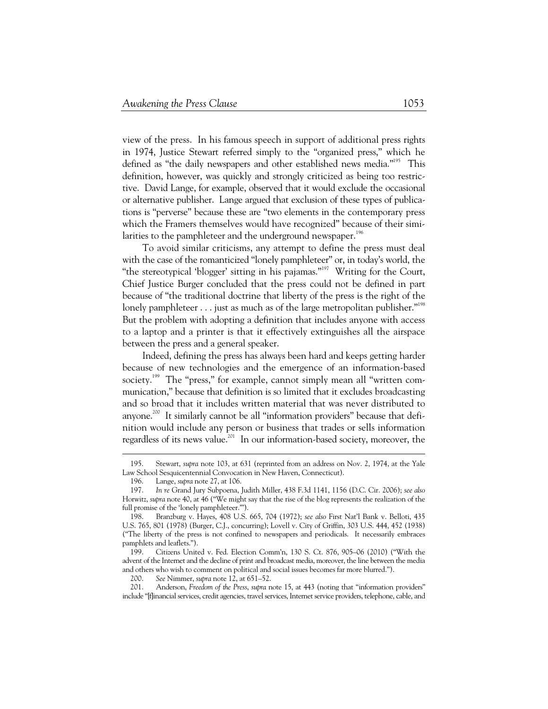view of the press. In his famous speech in support of additional press rights in 1974, Justice Stewart referred simply to the "organized press," which he defined as "the daily newspapers and other established news media."<sup>195</sup> This definition, however, was quickly and strongly criticized as being too restrictive. David Lange, for example, observed that it would exclude the occasional or alternative publisher. Lange argued that exclusion of these types of publications is "perverse" because these are "two elements in the contemporary press which the Framers themselves would have recognized" because of their similarities to the pamphleteer and the underground newspaper.<sup>196</sup>

To avoid similar criticisms, any attempt to define the press must deal with the case of the romanticized "lonely pamphleteer" or, in today's world, the "the stereotypical 'blogger' sitting in his pajamas."<sup>197</sup> Writing for the Court, Chief Justice Burger concluded that the press could not be defined in part because of "the traditional doctrine that liberty of the press is the right of the lonely pamphleteer  $\dots$  just as much as of the large metropolitan publisher."<sup>198</sup> But the problem with adopting a definition that includes anyone with access to a laptop and a printer is that it effectively extinguishes all the airspace between the press and a general speaker.

Indeed, defining the press has always been hard and keeps getting harder because of new technologies and the emergence of an information-based society.<sup>199</sup> The "press," for example, cannot simply mean all "written communication," because that definition is so limited that it excludes broadcasting and so broad that it includes written material that was never distributed to anyone.<sup>200</sup> It similarly cannot be all "information providers" because that definition would include any person or business that trades or sells information regardless of its news value.<sup>201</sup> In our information-based society, moreover, the

 <sup>195.</sup> Stewart, *supra* note 103, at 631 (reprinted from an address on Nov. 2, 1974, at the Yale Law School Sesquicentennial Convocation in New Haven, Connecticut).

 <sup>196.</sup> Lange, *supra* note 27, at 106.

 <sup>197.</sup> *In re* Grand Jury Subpoena, Judith Miller, 438 F.3d 1141, 1156 (D.C. Cir. 2006); *see also* Horwitz, *supra* note 40, at 46 ("We might say that the rise of the blog represents the realization of the full promise of the 'lonely pamphleteer.'").

 <sup>198.</sup> Branzburg v. Hayes, 408 U.S. 665, 704 (1972); *see also* First Nat'l Bank v. Belloti, 435 U.S. 765, 801 (1978) (Burger, C.J., concurring); Lovell v. City of Griffin, 303 U.S. 444, 452 (1938) ("The liberty of the press is not confined to newspapers and periodicals. It necessarily embraces pamphlets and leaflets.").

 <sup>199.</sup> Citizens United v. Fed. Election Comm'n, 130 S. Ct. 876, 905–06 (2010) ("With the advent of the Internet and the decline of print and broadcast media, moreover, the line between the media and others who wish to comment on political and social issues becomes far more blurred.").

 <sup>200.</sup> *See* Nimmer, *supra* note 12, at 651–52.

 <sup>201.</sup> Anderson, *Freedom of the Press*, *supra* note 15, at 443 (noting that "information providers" include "[f]inancial services, credit agencies, travel services, Internet service providers, telephone, cable, and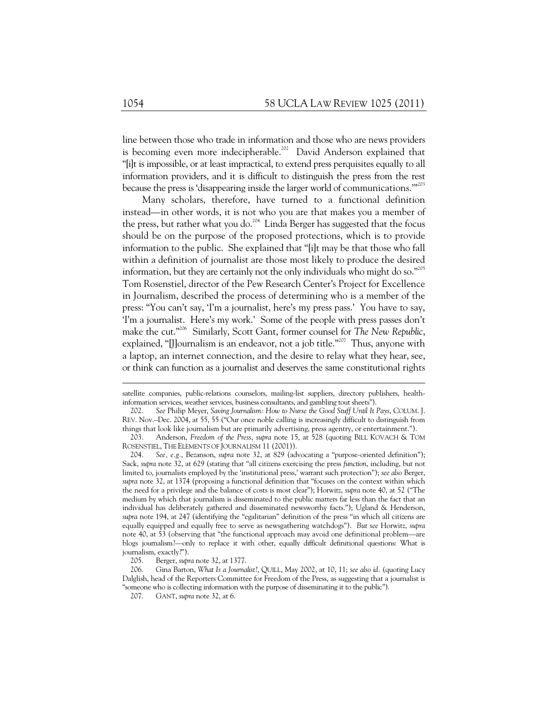line between those who trade in information and those who are news providers is becoming even more indecipherable.<sup>202</sup> David Anderson explained that "[i]t is impossible, or at least impractical, to extend press perquisites equally to all information providers, and it is difficult to distinguish the press from the rest because the press is 'disappearing inside the larger world of communications."<sup>203</sup>

Many scholars, therefore, have turned to a functional definition instead—in other words, it is not who you are that makes you a member of the press, but rather what you do.<sup>204</sup> Linda Berger has suggested that the focus should be on the purpose of the proposed protections, which is to provide information to the public. She explained that "[i]t may be that those who fall within a definition of journalist are those most likely to produce the desired information, but they are certainly not the only individuals who might do so."<sup>205</sup> Tom Rosenstiel, director of the Pew Research Center's Project for Excellence in Journalism, described the process of determining who is a member of the press: "You can't say, 'I'm a journalist, here's my press pass.' You have to say, 'I'm a journalist. Here's my work.' Some of the people with press passes don't make the cut."<sup>206</sup> Similarly, Scott Gant, former counsel for *The New Republic*, explained, "[J]ournalism is an endeavor, not a job title."<sup>207</sup> Thus, anyone with a laptop, an internet connection, and the desire to relay what they hear, see, or think can function as a journalist and deserves the same constitutional rights

satellite companies, public-relations counselors, mailing-list suppliers, directory publishers, healthinformation services, weather services, business consultants, and gambling tout sheets").

 <sup>202.</sup> *See* Philip Meyer, *Saving Journalism: How to Nurse the Good Stuff Until It Pays*, COLUM. J. REV. Nov.–Dec. 2004, at 55, 55 ("Our once noble calling is increasingly difficult to distinguish from things that look like journalism but are primarily advertising, press agentry, or entertainment.").

 <sup>203.</sup> Anderson, *Freedom of the Press*, *supra* note 15, at 528 (quoting BILL KOVACH & TOM ROSENSTIEL, THE ELEMENTS OF JOURNALISM 11 (2001)).

 <sup>204.</sup> *See, e.g.*, Bezanson, *supra* note 32, at 829 (advocating a "purpose-oriented definition"); Sack, *supra* note 32, at 629 (stating that "all citizens exercising the press *function*, including, but not limited to, journalists employed by the 'institutional press,' warrant such protection"); *see also* Berger, *supra* note 32, at 1374 (proposing a functional definition that "focuses on the context within which the need for a privilege and the balance of costs is most clear"); Horwitz, *supra* note 40, at 52 ("The medium by which that journalism is disseminated to the public matters far less than the fact that an individual has deliberately gathered and disseminated newsworthy facts."); Ugland & Henderson, *supra* note 194, at 247 (identifying the "egalitarian" definition of the press "in which all citizens are equally equipped and equally free to serve as newsgathering watchdogs"). *But see* Horwitz, *supra* note 40, at 53 (observing that "the functional approach may avoid one definitional problem—are blogs journalism?—only to replace it with other, equally difficult definitional questions: What is journalism, exactly?").

 <sup>205.</sup> Berger, *supra* note 32, at 1377.

 <sup>206.</sup> Gina Barton, *What Is a Journalist*?, QUILL, May 2002, at 10, 11; *see also id.* (quoting Lucy Dalglish, head of the Reporters Committee for Freedom of the Press, as suggesting that a journalist is "someone who is collecting information with the purpose of disseminating it to the public").

 <sup>207.</sup> GANT, *supra* note 32, at 6.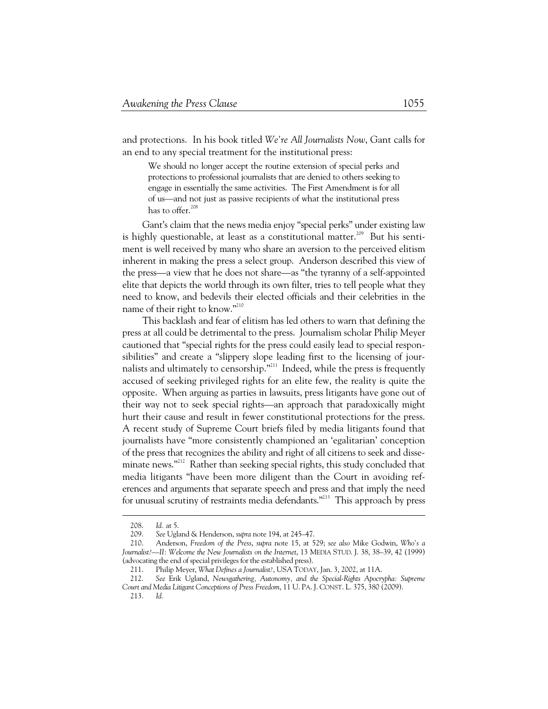and protections. In his book titled *We're All Journalists Now*, Gant calls for an end to any special treatment for the institutional press:

We should no longer accept the routine extension of special perks and protections to professional journalists that are denied to others seeking to engage in essentially the same activities. The First Amendment is for all of us—and not just as passive recipients of what the institutional press has to offer.<sup>208</sup>

Gant's claim that the news media enjoy "special perks" under existing law is highly questionable, at least as a constitutional matter.<sup>209</sup> But his sentiment is well received by many who share an aversion to the perceived elitism inherent in making the press a select group. Anderson described this view of the press—a view that he does not share—as "the tyranny of a self-appointed elite that depicts the world through its own filter, tries to tell people what they need to know, and bedevils their elected officials and their celebrities in the name of their right to know."<sup>210</sup>

This backlash and fear of elitism has led others to warn that defining the press at all could be detrimental to the press. Journalism scholar Philip Meyer cautioned that "special rights for the press could easily lead to special responsibilities" and create a "slippery slope leading first to the licensing of journalists and ultimately to censorship."<sup>211</sup> Indeed, while the press is frequently accused of seeking privileged rights for an elite few, the reality is quite the opposite. When arguing as parties in lawsuits, press litigants have gone out of their way not to seek special rights—an approach that paradoxically might hurt their cause and result in fewer constitutional protections for the press. A recent study of Supreme Court briefs filed by media litigants found that journalists have "more consistently championed an 'egalitarian' conception of the press that recognizes the ability and right of all citizens to seek and disseminate news."<sup>212</sup> Rather than seeking special rights, this study concluded that media litigants "have been more diligent than the Court in avoiding references and arguments that separate speech and press and that imply the need for unusual scrutiny of restraints media defendants."<sup>213</sup> This approach by press

 <sup>208.</sup> *Id.* at 5.

 <sup>209.</sup> *See* Ugland & Henderson, *supra* note 194, at 245–47.

 <sup>210.</sup> Anderson, *Freedom of the Press*, *supra* note 15, at 529; *see also* Mike Godwin, *Who's a Journalist?—II: Welcome the New Journalists on the Internet*, 13 MEDIA STUD. J. 38, 38–39, 42 (1999) (advocating the end of special privileges for the established press).

 <sup>211.</sup> Philip Meyer, *What Defines a Journalist?*, USA TODAY, Jan. 3, 2002, at 11A.

 <sup>212.</sup> *See* Erik Ugland, *Newsgathering, Autonomy, and the Special-Rights Apocrypha: Supreme Court and Media Litigant Conceptions of Press Freedom*, 11 U. PA. J. CONST. L. 375, 380 (2009).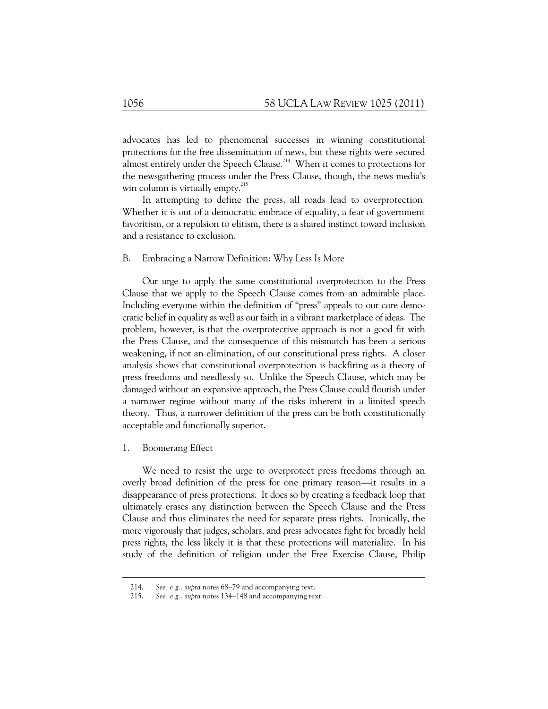advocates has led to phenomenal successes in winning constitutional protections for the free dissemination of news, but these rights were secured almost entirely under the Speech Clause.<sup>214</sup> When it comes to protections for the newsgathering process under the Press Clause, though, the news media's win column is virtually empty.<sup>215</sup>

In attempting to define the press, all roads lead to overprotection. Whether it is out of a democratic embrace of equality, a fear of government favoritism, or a repulsion to elitism, there is a shared instinct toward inclusion and a resistance to exclusion.

#### B. Embracing a Narrow Definition: Why Less Is More

Our urge to apply the same constitutional overprotection to the Press Clause that we apply to the Speech Clause comes from an admirable place. Including everyone within the definition of "press" appeals to our core democratic belief in equality as well as our faith in a vibrant marketplace of ideas. The problem, however, is that the overprotective approach is not a good fit with the Press Clause, and the consequence of this mismatch has been a serious weakening, if not an elimination, of our constitutional press rights. A closer analysis shows that constitutional overprotection is backfiring as a theory of press freedoms and needlessly so. Unlike the Speech Clause, which may be damaged without an expansive approach, the Press Clause could flourish under a narrower regime without many of the risks inherent in a limited speech theory. Thus, a narrower definition of the press can be both constitutionally acceptable and functionally superior.

## 1. Boomerang Effect

-

We need to resist the urge to overprotect press freedoms through an overly broad definition of the press for one primary reason—it results in a disappearance of press protections. It does so by creating a feedback loop that ultimately erases any distinction between the Speech Clause and the Press Clause and thus eliminates the need for separate press rights. Ironically, the more vigorously that judges, scholars, and press advocates fight for broadly held press rights, the less likely it is that these protections will materialize. In his study of the definition of religion under the Free Exercise Clause, Philip

 <sup>214.</sup> *See, e.g.*, *supra* notes 68–79 and accompanying text.

 <sup>215.</sup> *See, e.g.*, *supra* notes 134–148 and accompanying text.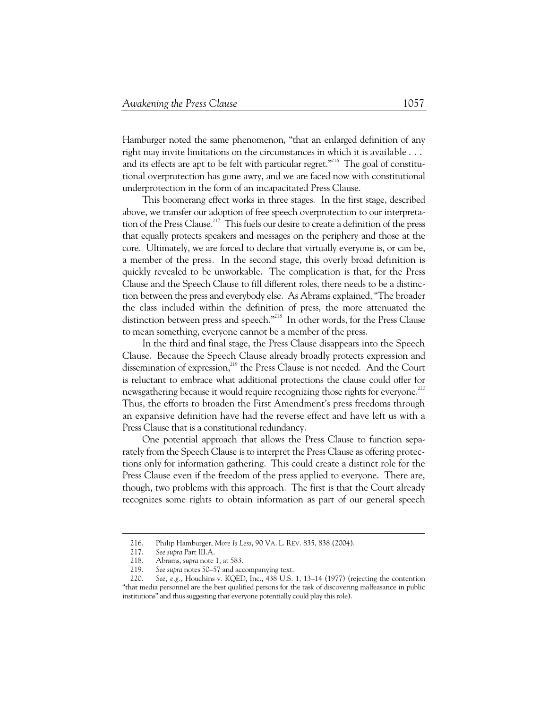Hamburger noted the same phenomenon, "that an enlarged definition of any right may invite limitations on the circumstances in which it is available . . . and its effects are apt to be felt with particular regret."<sup>216</sup> The goal of constitutional overprotection has gone awry, and we are faced now with constitutional underprotection in the form of an incapacitated Press Clause.

This boomerang effect works in three stages. In the first stage, described above, we transfer our adoption of free speech overprotection to our interpretation of the Press Clause.<sup>217</sup> This fuels our desire to create a definition of the press that equally protects speakers and messages on the periphery and those at the core. Ultimately, we are forced to declare that virtually everyone is, or can be, a member of the press. In the second stage, this overly broad definition is quickly revealed to be unworkable. The complication is that, for the Press Clause and the Speech Clause to fill different roles, there needs to be a distinction between the press and everybody else. As Abrams explained, "The broader the class included within the definition of press, the more attenuated the distinction between press and speech."<sup>218</sup> In other words, for the Press Clause to mean something, everyone cannot be a member of the press.

In the third and final stage, the Press Clause disappears into the Speech Clause. Because the Speech Clause already broadly protects expression and dissemination of expression,<sup>219</sup> the Press Clause is not needed. And the Court is reluctant to embrace what additional protections the clause could offer for newsgathering because it would require recognizing those rights for everyone.<sup>220</sup> Thus, the efforts to broaden the First Amendment's press freedoms through an expansive definition have had the reverse effect and have left us with a Press Clause that is a constitutional redundancy.

One potential approach that allows the Press Clause to function separately from the Speech Clause is to interpret the Press Clause as offering protections only for information gathering. This could create a distinct role for the Press Clause even if the freedom of the press applied to everyone. There are, though, two problems with this approach. The first is that the Court already recognizes some rights to obtain information as part of our general speech

 <sup>216.</sup> Philip Hamburger, *More Is Less*, 90 VA. L. REV. 835, 838 (2004).

 <sup>217.</sup> *See supra* Part III.A.

Abrams, *supra* note 1, at 583.

 <sup>219.</sup> *See supra* notes 50–57 and accompanying text.

 <sup>220.</sup> *See, e.g.*, Houchins v. KQED, Inc., 438 U.S. 1, 13–14 (1977) (rejecting the contention "that media personnel are the best qualified persons for the task of discovering malfeasance in public institutions" and thus suggesting that everyone potentially could play this role).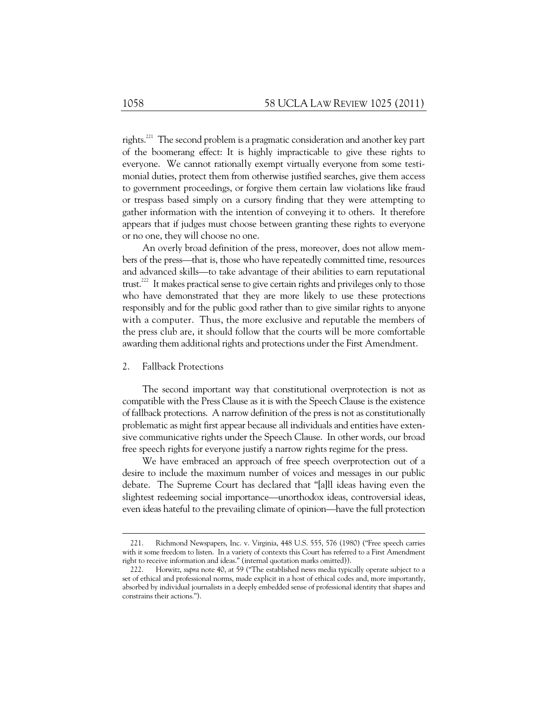rights.221 The second problem is a pragmatic consideration and another key part of the boomerang effect: It is highly impracticable to give these rights to everyone. We cannot rationally exempt virtually everyone from some testimonial duties, protect them from otherwise justified searches, give them access to government proceedings, or forgive them certain law violations like fraud or trespass based simply on a cursory finding that they were attempting to gather information with the intention of conveying it to others. It therefore appears that if judges must choose between granting these rights to everyone or no one, they will choose no one.

An overly broad definition of the press, moreover, does not allow members of the press—that is, those who have repeatedly committed time, resources and advanced skills—to take advantage of their abilities to earn reputational trust.<sup>222</sup> It makes practical sense to give certain rights and privileges only to those who have demonstrated that they are more likely to use these protections responsibly and for the public good rather than to give similar rights to anyone with a computer. Thus, the more exclusive and reputable the members of the press club are, it should follow that the courts will be more comfortable awarding them additional rights and protections under the First Amendment.

## 2. Fallback Protections

-

The second important way that constitutional overprotection is not as compatible with the Press Clause as it is with the Speech Clause is the existence of fallback protections. A narrow definition of the press is not as constitutionally problematic as might first appear because all individuals and entities have extensive communicative rights under the Speech Clause. In other words, our broad free speech rights for everyone justify a narrow rights regime for the press.

We have embraced an approach of free speech overprotection out of a desire to include the maximum number of voices and messages in our public debate. The Supreme Court has declared that "[a]ll ideas having even the slightest redeeming social importance—unorthodox ideas, controversial ideas, even ideas hateful to the prevailing climate of opinion—have the full protection

 <sup>221.</sup> Richmond Newspapers, Inc. v. Virginia, 448 U.S. 555, 576 (1980) ("Free speech carries with it some freedom to listen. In a variety of contexts this Court has referred to a First Amendment right to receive information and ideas." (internal quotation marks omitted)).

 <sup>222.</sup> Horwitz, *supra* note 40, at 59 ("The established news media typically operate subject to a set of ethical and professional norms, made explicit in a host of ethical codes and, more importantly, absorbed by individual journalists in a deeply embedded sense of professional identity that shapes and constrains their actions.").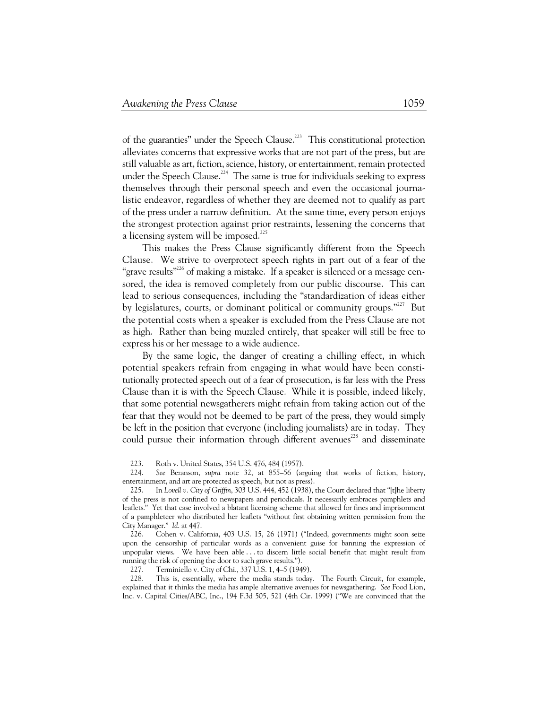of the guaranties" under the Speech Clause.<sup>223</sup> This constitutional protection alleviates concerns that expressive works that are not part of the press, but are still valuable as art, fiction, science, history, or entertainment, remain protected under the Speech Clause.<sup>224</sup> The same is true for individuals seeking to express themselves through their personal speech and even the occasional journalistic endeavor, regardless of whether they are deemed not to qualify as part of the press under a narrow definition. At the same time, every person enjoys the strongest protection against prior restraints, lessening the concerns that a licensing system will be imposed.<sup>225</sup>

This makes the Press Clause significantly different from the Speech Clause. We strive to overprotect speech rights in part out of a fear of the "grave results"<sup>226</sup> of making a mistake. If a speaker is silenced or a message censored, the idea is removed completely from our public discourse. This can lead to serious consequences, including the "standardization of ideas either by legislatures, courts, or dominant political or community groups."<sup>227</sup> But the potential costs when a speaker is excluded from the Press Clause are not as high. Rather than being muzzled entirely, that speaker will still be free to express his or her message to a wide audience.

By the same logic, the danger of creating a chilling effect, in which potential speakers refrain from engaging in what would have been constitutionally protected speech out of a fear of prosecution, is far less with the Press Clause than it is with the Speech Clause. While it is possible, indeed likely, that some potential newsgatherers might refrain from taking action out of the fear that they would not be deemed to be part of the press, they would simply be left in the position that everyone (including journalists) are in today. They could pursue their information through different avenues<sup>228</sup> and disseminate

1

227. Terminiello v. City of Chi., 337 U.S. 1, 4–5 (1949).

 228. This is, essentially, where the media stands today. The Fourth Circuit, for example, explained that it thinks the media has ample alternative avenues for newsgathering. *See* Food Lion, Inc. v. Capital Cities/ABC, Inc., 194 F.3d 505, 521 (4th Cir. 1999) ("We are convinced that the

 <sup>223.</sup> Roth v. United States, 354 U.S. 476, 484 (1957).

 <sup>224.</sup> *See* Bezanson, *supra* note 32, at 855–56 (arguing that works of fiction, history, entertainment, and art are protected as speech, but not as press).

 <sup>225.</sup> In *Lovell v. City of Griffin*, 303 U.S. 444, 452 (1938), the Court declared that "[t]he liberty of the press is not confined to newspapers and periodicals. It necessarily embraces pamphlets and leaflets." Yet that case involved a blatant licensing scheme that allowed for fines and imprisonment of a pamphleteer who distributed her leaflets "without first obtaining written permission from the City Manager." *Id*. at 447.

 <sup>226.</sup> Cohen v. California, 403 U.S. 15, 26 (1971) ("Indeed, governments might soon seize upon the censorship of particular words as a convenient guise for banning the expression of unpopular views. We have been able . . . to discern little social benefit that might result from running the risk of opening the door to such grave results.").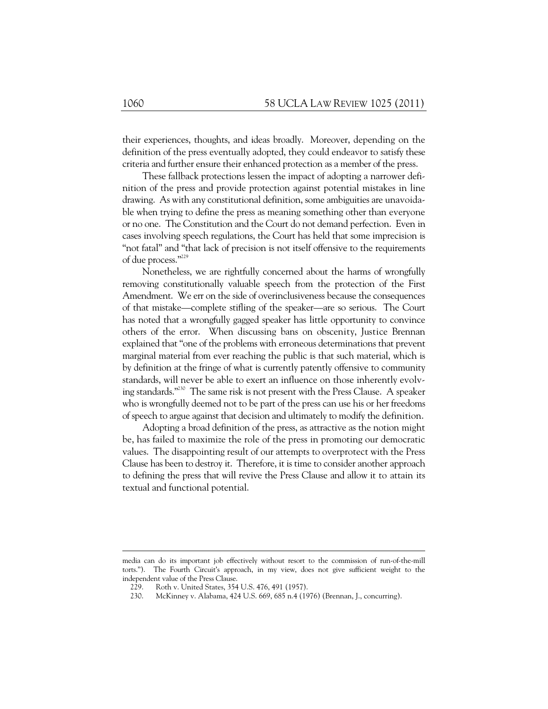their experiences, thoughts, and ideas broadly. Moreover, depending on the definition of the press eventually adopted, they could endeavor to satisfy these criteria and further ensure their enhanced protection as a member of the press.

These fallback protections lessen the impact of adopting a narrower definition of the press and provide protection against potential mistakes in line drawing. As with any constitutional definition, some ambiguities are unavoidable when trying to define the press as meaning something other than everyone or no one. The Constitution and the Court do not demand perfection. Even in cases involving speech regulations, the Court has held that some imprecision is "not fatal" and "that lack of precision is not itself offensive to the requirements of due process."<sup>229</sup>

Nonetheless, we are rightfully concerned about the harms of wrongfully removing constitutionally valuable speech from the protection of the First Amendment. We err on the side of overinclusiveness because the consequences of that mistake—complete stifling of the speaker—are so serious. The Court has noted that a wrongfully gagged speaker has little opportunity to convince others of the error. When discussing bans on obscenity, Justice Brennan explained that "one of the problems with erroneous determinations that prevent marginal material from ever reaching the public is that such material, which is by definition at the fringe of what is currently patently offensive to community standards, will never be able to exert an influence on those inherently evolving standards."230 The same risk is not present with the Press Clause. A speaker who is wrongfully deemed not to be part of the press can use his or her freedoms of speech to argue against that decision and ultimately to modify the definition.

Adopting a broad definition of the press, as attractive as the notion might be, has failed to maximize the role of the press in promoting our democratic values. The disappointing result of our attempts to overprotect with the Press Clause has been to destroy it. Therefore, it is time to consider another approach to defining the press that will revive the Press Clause and allow it to attain its textual and functional potential.

media can do its important job effectively without resort to the commission of run-of-the-mill torts."). The Fourth Circuit's approach, in my view, does not give sufficient weight to the independent value of the Press Clause.

 <sup>229.</sup> Roth v. United States, 354 U.S. 476, 491 (1957).

 <sup>230.</sup> McKinney v. Alabama, 424 U.S. 669, 685 n.4 (1976) (Brennan, J., concurring).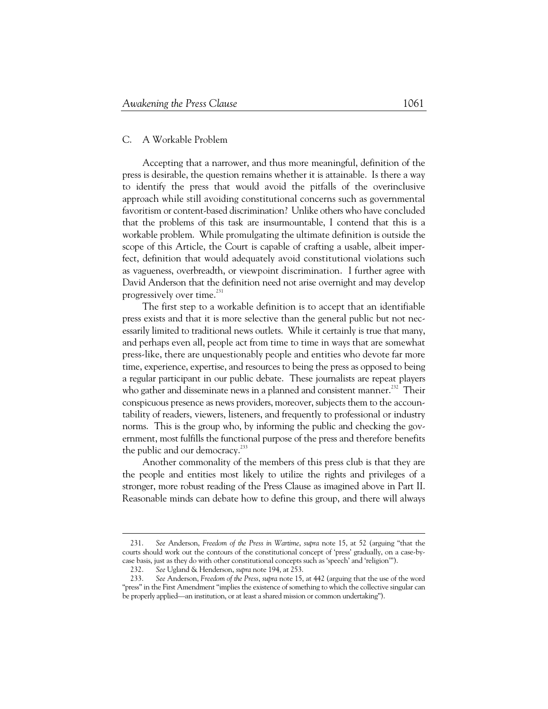## C. A Workable Problem

Accepting that a narrower, and thus more meaningful, definition of the press is desirable, the question remains whether it is attainable. Is there a way to identify the press that would avoid the pitfalls of the overinclusive approach while still avoiding constitutional concerns such as governmental favoritism or content-based discrimination? Unlike others who have concluded that the problems of this task are insurmountable, I contend that this is a workable problem. While promulgating the ultimate definition is outside the scope of this Article, the Court is capable of crafting a usable, albeit imperfect, definition that would adequately avoid constitutional violations such as vagueness, overbreadth, or viewpoint discrimination. I further agree with David Anderson that the definition need not arise overnight and may develop progressively over time.<sup>231</sup>

The first step to a workable definition is to accept that an identifiable press exists and that it is more selective than the general public but not necessarily limited to traditional news outlets. While it certainly is true that many, and perhaps even all, people act from time to time in ways that are somewhat press-like, there are unquestionably people and entities who devote far more time, experience, expertise, and resources to being the press as opposed to being a regular participant in our public debate. These journalists are repeat players who gather and disseminate news in a planned and consistent manner.<sup>232</sup> Their conspicuous presence as news providers, moreover, subjects them to the accountability of readers, viewers, listeners, and frequently to professional or industry norms. This is the group who, by informing the public and checking the government, most fulfills the functional purpose of the press and therefore benefits the public and our democracy.<sup>233</sup>

Another commonality of the members of this press club is that they are the people and entities most likely to utilize the rights and privileges of a stronger, more robust reading of the Press Clause as imagined above in Part II. Reasonable minds can debate how to define this group, and there will always

 <sup>231.</sup> *See* Anderson, *Freedom of the Press in Wartime*, *supra* note 15, at 52 (arguing "that the courts should work out the contours of the constitutional concept of 'press' gradually, on a case-bycase basis, just as they do with other constitutional concepts such as 'speech' and 'religion'").

 <sup>232.</sup> *See* Ugland & Henderson, *supra* note 194, at 253.

 <sup>233.</sup> *See* Anderson, *Freedom of the Press*, *supra* note 15, at 442 (arguing that the use of the word "press" in the First Amendment "implies the existence of something to which the collective singular can be properly applied—an institution, or at least a shared mission or common undertaking").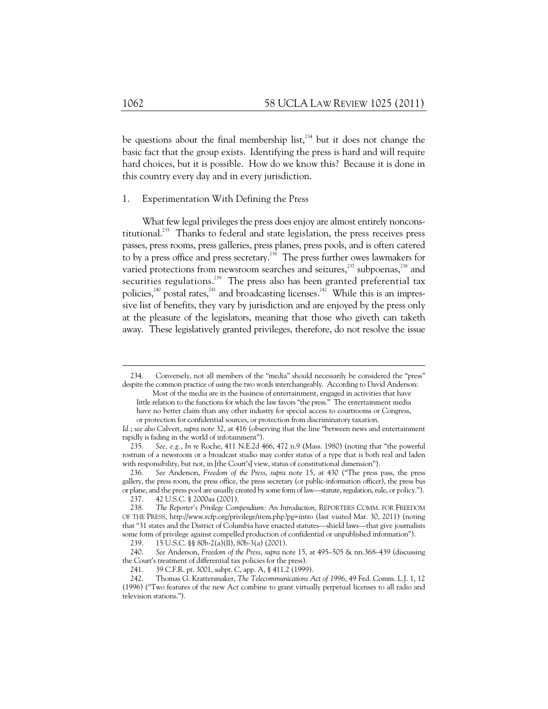be questions about the final membership list, $^{234}$  but it does not change the basic fact that the group exists. Identifying the press is hard and will require hard choices, but it is possible. How do we know this? Because it is done in this country every day and in every jurisdiction.

#### 1. Experimentation With Defining the Press

What few legal privileges the press does enjoy are almost entirely nonconstitutional.<sup>235</sup> Thanks to federal and state legislation, the press receives press passes, press rooms, press galleries, press planes, press pools, and is often catered to by a press office and press secretary.<sup>236</sup> The press further owes lawmakers for varied protections from newsroom searches and seizures, $^{237}$  subpoenas, $^{238}$  and securities regulations.<sup>239</sup> The press also has been granted preferential tax policies,<sup>240</sup> postal rates,<sup>241</sup> and broadcasting licenses.<sup>242</sup> While this is an impressive list of benefits, they vary by jurisdiction and are enjoyed by the press only at the pleasure of the legislators, meaning that those who giveth can taketh away. These legislatively granted privileges, therefore, do not resolve the issue

 <sup>234.</sup> Conversely, not all members of the "media" should necessarily be considered the "press" despite the common practice of using the two words interchangeably. According to David Anderson:

Most of the media are in the business of entertainment, engaged in activities that have little relation to the functions for which the law favors "the press." The entertainment media have no better claim than any other industry for special access to courtrooms or Congress, or protection for confidential sources, or protection from discriminatory taxation.

*Id.*; *see also* Calvert, *supra* note 32, at 416 (observing that the line "between news and entertainment rapidly is fading in the world of infotainment").

 <sup>235.</sup> *See, e.g.*, *In re* Roche, 411 N.E.2d 466, 472 n.9 (Mass. 1980) (noting that "the powerful rostrum of a newsroom or a broadcast studio may confer status of a type that is both real and laden with responsibility, but not, in [the Court's] view, status of constitutional dimension").

 <sup>236.</sup> *See* Anderson, *Freedom of the Press*, *supra* note 15, at 430 ("The press pass, the press gallery, the press room, the press office, the press secretary (or public-information officer), the press bus or plane, and the press pool are usually created by some form of law—statute, regulation, rule, or policy."). 237. 42 U.S.C. § 2000aa (2001).

 <sup>238.</sup> *The Reporter's Privilege Compendium: An Introduction*, REPORTERS COMM. FOR FREEDOM OF THE PRESS, http://www.rcfp.org/privilege/item.php?pg=intro (last visited Mar. 30, 2011) (noting that "31 states and the District of Columbia have enacted statutes—shield laws—that give journalists

some form of privilege against compelled production of confidential or unpublished information").

 <sup>239. 15</sup> U.S.C. §§ 80b-2(a)(ll), 80b-3(a) (2001).

 <sup>240.</sup> *See* Anderson, *Freedom of the Press*, *supra* note 15, at 495–505 & nn.368–439 (discussing the Court's treatment of differential tax policies for the press).

 <sup>241. 39</sup> C.F.R. pt. 3001, subpt. C, app. A, § 411.2 (1999).

 <sup>242.</sup> Thomas G. Krattenmaker, *The Telecommunications Act of 1996*, 49 Fed. Comm. L.J. 1, 12 (1996) ("Two features of the new Act combine to grant virtually perpetual licenses to all radio and television stations.").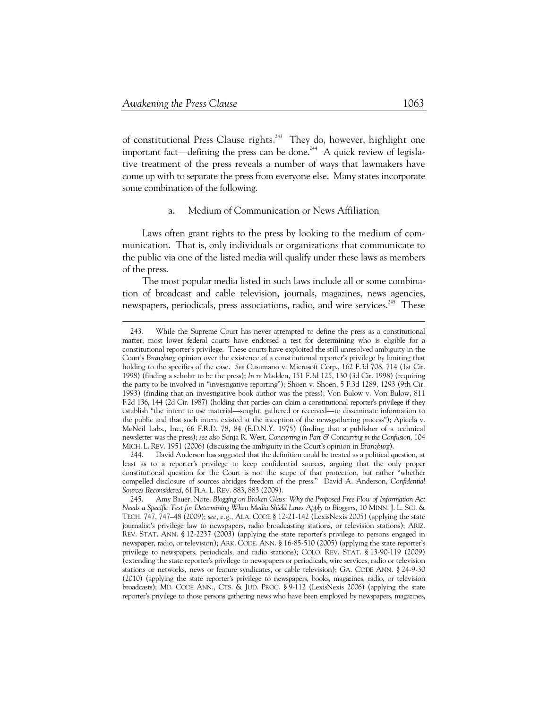1

of constitutional Press Clause rights.<sup>243</sup> They do, however, highlight one important fact—defining the press can be done.<sup>244</sup> A quick review of legislative treatment of the press reveals a number of ways that lawmakers have come up with to separate the press from everyone else. Many states incorporate some combination of the following.

## a. Medium of Communication or News Affiliation

Laws often grant rights to the press by looking to the medium of communication. That is, only individuals or organizations that communicate to the public via one of the listed media will qualify under these laws as members of the press.

The most popular media listed in such laws include all or some combination of broadcast and cable television, journals, magazines, news agencies, newspapers, periodicals, press associations, radio, and wire services.<sup>245</sup> These

 <sup>243.</sup> While the Supreme Court has never attempted to define the press as a constitutional matter, most lower federal courts have endorsed a test for determining who is eligible for a constitutional reporter's privilege. These courts have exploited the still unresolved ambiguity in the Court's *Branzburg* opinion over the existence of a constitutional reporter's privilege by limiting that holding to the specifics of the case. *See* Cusumano v. Microsoft Corp., 162 F.3d 708, 714 (1st Cir. 1998) (finding a scholar to be the press); *In re* Madden, 151 F.3d 125, 130 (3d Cir. 1998) (requiring the party to be involved in "investigative reporting"); Shoen v. Shoen, 5 F.3d 1289, 1293 (9th Cir. 1993) (finding that an investigative book author was the press); Von Bulow v. Von Bulow, 811 F.2d 136, 144 (2d Cir. 1987) (holding that parties can claim a constitutional reporter's privilege if they establish "the intent to use material—sought, gathered or received—to disseminate information to the public and that such intent existed at the inception of the newsgathering process"); Apicela v. McNeil Labs., Inc., 66 F.R.D. 78, 84 (E.D.N.Y. 1975) (finding that a publisher of a technical newsletter was the press); *see also* Sonja R. West, *Concurring in Part & Concurring in the Confusion*, 104 MICH. L. REV. 1951 (2006) (discussing the ambiguity in the Court's opinion in *Branzburg*).

 <sup>244.</sup> David Anderson has suggested that the definition could be treated as a political question, at least as to a reporter's privilege to keep confidential sources, arguing that the only proper constitutional question for the Court is not the scope of that protection, but rather "whether compelled disclosure of sources abridges freedom of the press." David A. Anderson, *Confidential Sources Reconsidered*, 61 FLA. L. REV. 883, 883 (2009).

 <sup>245.</sup> Amy Bauer, Note, *Blogging on Broken Glass: Why the Proposed Free Flow of Information Act Needs a Specific Test for Determining When Media Shield Laws Apply to Bloggers*, 10 MINN. J. L. SCI. & TECH. 747, 747–48 (2009); *see, e.g.*, ALA. CODE § 12-21-142 (LexisNexis 2005) (applying the state journalist's privilege law to newspapers, radio broadcasting stations, or television stations); ARIZ. REV. STAT. ANN. § 12-2237 (2003) (applying the state reporter's privilege to persons engaged in newspaper, radio, or television); ARK. CODE. ANN. § 16-85-510 (2005) (applying the state reporter's privilege to newspapers, periodicals, and radio stations); COLO. REV. STAT. § 13-90-119 (2009) (extending the state reporter's privilege to newspapers or periodicals, wire services, radio or television stations or networks, news or feature syndicates, or cable television); GA. CODE ANN. § 24-9-30 (2010) (applying the state reporter's privilege to newspapers, books, magazines, radio, or television broadcasts); MD. CODE ANN., CTS. & JUD. PROC. § 9-112 (LexisNexis 2006) (applying the state reporter's privilege to those persons gathering news who have been employed by newspapers, magazines,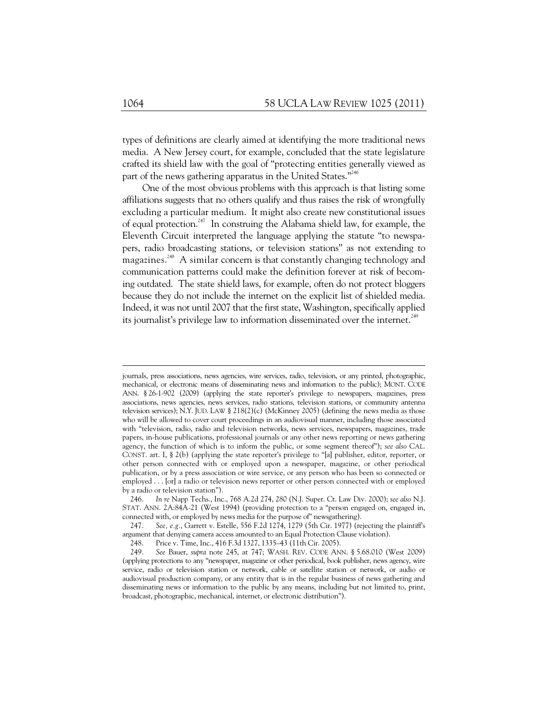types of definitions are clearly aimed at identifying the more traditional news media. A New Jersey court, for example, concluded that the state legislature crafted its shield law with the goal of "protecting entities generally viewed as part of the news gathering apparatus in the United States."<sup>246</sup>

One of the most obvious problems with this approach is that listing some affiliations suggests that no others qualify and thus raises the risk of wrongfully excluding a particular medium. It might also create new constitutional issues of equal protection.<sup>247</sup> In construing the Alabama shield law, for example, the Eleventh Circuit interpreted the language applying the statute "to newspapers, radio broadcasting stations, or television stations" as not extending to magazines.<sup>248</sup> A similar concern is that constantly changing technology and communication patterns could make the definition forever at risk of becoming outdated. The state shield laws, for example, often do not protect bloggers because they do not include the internet on the explicit list of shielded media. Indeed, it was not until 2007 that the first state, Washington, specifically applied its journalist's privilege law to information disseminated over the internet.<sup>249</sup>

journals, press associations, news agencies, wire services, radio, television, or any printed, photographic, mechanical, or electronic means of disseminating news and information to the public); MONT. CODE ANN. § 26-1-902 (2009) (applying the state reporter's privilege to newspapers, magazines, press associations, news agencies, news services, radio stations, television stations, or community antenna television services); N.Y. JUD. LAW § 218(2)(c) (McKinney 2005) (defining the news media as those who will be allowed to cover court proceedings in an audiovisual manner, including those associated with "television, radio, radio and television networks, news services, newspapers, magazines, trade papers, in-house publications, professional journals or any other news reporting or news gathering agency, the function of which is to inform the public, or some segment thereof"); *see also* CAL. CONST. art. I, § 2(b) (applying the state reporter's privilege to "[a] publisher, editor, reporter, or other person connected with or employed upon a newspaper, magazine, or other periodical publication, or by a press association or wire service, or any person who has been so connected or employed . . . [or] a radio or television news reporter or other person connected with or employed by a radio or television station").<br>246. In re Napp Techs., Inc

 <sup>246.</sup> *In re* Napp Techs., Inc., 768 A.2d 274, 280 (N.J. Super. Ct. Law Div. 2000); *see also* N.J. STAT. ANN. 2A:84A-21 (West 1994) (providing protection to a "person engaged on, engaged in, connected with, or employed by news media for the purpose of" newsgathering).

 <sup>247.</sup> *See, e.g.*, Garrett v. Estelle, 556 F.2d 1274, 1279 (5th Cir. 1977) (rejecting the plaintiff's argument that denying camera access amounted to an Equal Protection Clause violation).

 <sup>248.</sup> Price v. Time, Inc., 416 F.3d 1327, 1335–43 (11th Cir. 2005).

 <sup>249.</sup> *See* Bauer, *supra* note 245, at 747; WASH. REV. CODE ANN. § 5.68.010 (West 2009) (applying protections to any "newspaper, magazine or other periodical, book publisher, news agency, wire service, radio or television station or network, cable or satellite station or network, or audio or audiovisual production company, or any entity that is in the regular business of news gathering and disseminating news or information to the public by any means, including but not limited to, print, broadcast, photographic, mechanical, internet, or electronic distribution").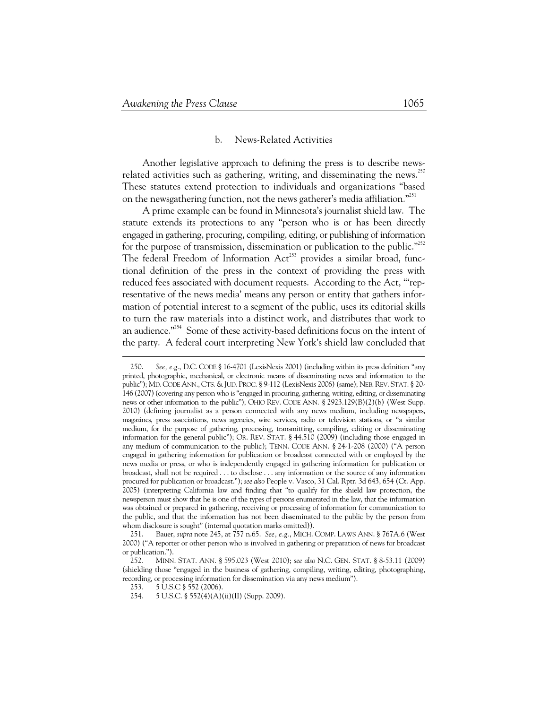### b. News-Related Activities

Another legislative approach to defining the press is to describe newsrelated activities such as gathering, writing, and disseminating the news.<sup>250</sup> These statutes extend protection to individuals and organizations "based on the newsgathering function, not the news gatherer's media affiliation."<sup>251</sup>

A prime example can be found in Minnesota's journalist shield law. The statute extends its protections to any "person who is or has been directly engaged in gathering, procuring, compiling, editing, or publishing of information for the purpose of transmission, dissemination or publication to the public." $252$ The federal Freedom of Information  $Act^{253}$  provides a similar broad, functional definition of the press in the context of providing the press with reduced fees associated with document requests. According to the Act, "'representative of the news media' means any person or entity that gathers information of potential interest to a segment of the public, uses its editorial skills to turn the raw materials into a distinct work, and distributes that work to an audience."<sup>254</sup> Some of these activity-based definitions focus on the intent of the party. A federal court interpreting New York's shield law concluded that

1

 <sup>250.</sup> *See, e.g.*, D.C. CODE § 16-4701 (LexisNexis 2001) (including within its press definition "any printed, photographic, mechanical, or electronic means of disseminating news and information to the public"); MD. CODE ANN., CTS. & JUD. PROC. § 9-112 (LexisNexis 2006) (same); NEB. REV. STAT. § 20- 146 (2007)(covering any person who is "engaged in procuring, gathering, writing, editing, or disseminating news or other information to the public"); OHIO REV. CODE ANN. § 2923.129(B)(2)(b) (West Supp. 2010) (defining journalist as a person connected with any news medium, including newspapers, magazines, press associations, news agencies, wire services, radio or television stations, or "a similar medium, for the purpose of gathering, processing, transmitting, compiling, editing or disseminating information for the general public"); OR. REV. STAT. § 44.510 (2009) (including those engaged in any medium of communication to the public); TENN. CODE ANN. § 24-1-208 (2000) ("A person engaged in gathering information for publication or broadcast connected with or employed by the news media or press, or who is independently engaged in gathering information for publication or broadcast, shall not be required . . . to disclose . . . any information or the source of any information procured for publication or broadcast."); *see also* People v. Vasco, 31 Cal. Rptr. 3d 643, 654 (Ct. App. 2005) (interpreting California law and finding that "to qualify for the shield law protection, the newsperson must show that he is one of the types of persons enumerated in the law, that the information was obtained or prepared in gathering, receiving or processing of information for communication to the public, and that the information has not been disseminated to the public by the person from whom disclosure is sought" (internal quotation marks omitted)).

 <sup>251.</sup> Bauer, *supra* note 245, at 757 n.65. *See, e.g.*, MICH. COMP. LAWS ANN. § 767A.6 (West 2000) ("A reporter or other person who is involved in gathering or preparation of news for broadcast or publication.").

 <sup>252.</sup> MINN. STAT. ANN. § 595.023 (West 2010); *see also* N.C. GEN. STAT. § 8-53.11 (2009) (shielding those "engaged in the business of gathering, compiling, writing, editing, photographing, recording, or processing information for dissemination via any news medium").

 <sup>253. 5</sup> U.S.C § 552 (2006).

 <sup>254. 5</sup> U.S.C. § 552(4)(A)(ii)(II) (Supp. 2009).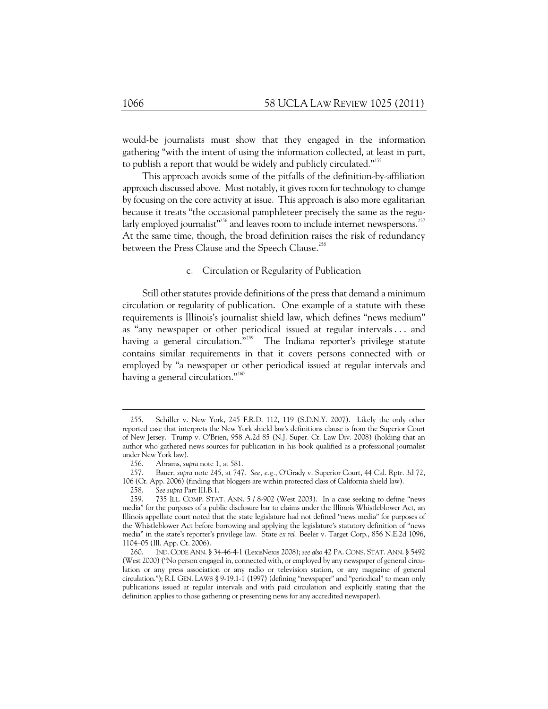would-be journalists must show that they engaged in the information gathering "with the intent of using the information collected, at least in part, to publish a report that would be widely and publicly circulated."<sup>255</sup>

This approach avoids some of the pitfalls of the definition-by-affiliation approach discussed above. Most notably, it gives room for technology to change by focusing on the core activity at issue. This approach is also more egalitarian because it treats "the occasional pamphleteer precisely the same as the regularly employed journalist"<sup>256</sup> and leaves room to include internet newspersons.<sup>257</sup> At the same time, though, the broad definition raises the risk of redundancy between the Press Clause and the Speech Clause.<sup>258</sup>

#### Circulation or Regularity of Publication

Still other statutes provide definitions of the press that demand a minimum circulation or regularity of publication. One example of a statute with these requirements is Illinois's journalist shield law, which defines "news medium" as "any newspaper or other periodical issued at regular intervals . . . and having a general circulation."<sup>259</sup> The Indiana reporter's privilege statute contains similar requirements in that it covers persons connected with or employed by "a newspaper or other periodical issued at regular intervals and having a general circulation."<sup>260</sup>

 <sup>255.</sup> Schiller v. New York, 245 F.R.D. 112, 119 (S.D.N.Y. 2007). Likely the only other reported case that interprets the New York shield law's definitions clause is from the Superior Court of New Jersey. Trump v. O'Brien, 958 A.2d 85 (N.J. Super. Ct. Law Div. 2008) (holding that an author who gathered news sources for publication in his book qualified as a professional journalist under New York law).

 <sup>256.</sup> Abrams, *supra* note 1, at 581*.*

 <sup>257.</sup> Bauer, *supra* note 245, at 747. *See, e.g.*, O'Grady v. Superior Court, 44 Cal. Rptr. 3d 72, 106 (Ct. App. 2006) (finding that bloggers are within protected class of California shield law).

 <sup>258.</sup> *See supra* Part III.B.1.

 <sup>259. 735</sup> ILL. COMP. STAT. ANN. 5 / 8-902 (West 2003). In a case seeking to define "news media" for the purposes of a public disclosure bar to claims under the Illinois Whistleblower Act, an Illinois appellate court noted that the state legislature had not defined "news media" for purposes of the Whistleblower Act before borrowing and applying the legislature's statutory definition of "news media" in the state's reporter's privilege law. State *ex rel.* Beeler v. Target Corp., 856 N.E.2d 1096, 1104–05 (Ill. App. Ct. 2006).

 <sup>260.</sup> IND. CODE ANN. § 34-46-4-1 (LexisNexis 2008); *see also* 42 PA. CONS. STAT. ANN. § 5492 (West 2000) ("No person engaged in, connected with, or employed by any newspaper of general circulation or any press association or any radio or television station, or any magazine of general circulation."); R.I. GEN. LAWS § 9-19.1-1 (1997) (defining "newspaper" and "periodical" to mean only publications issued at regular intervals and with paid circulation and explicitly stating that the definition applies to those gathering or presenting news for any accredited newspaper).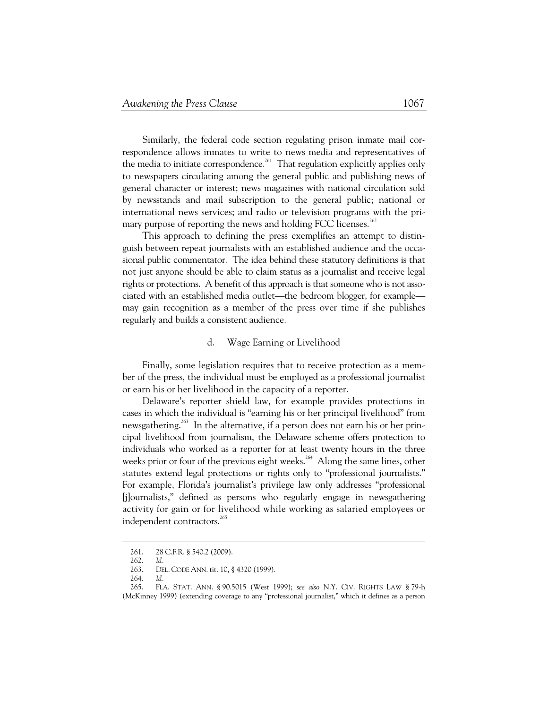Similarly, the federal code section regulating prison inmate mail correspondence allows inmates to write to news media and representatives of the media to initiate correspondence.<sup>261</sup> That regulation explicitly applies only to newspapers circulating among the general public and publishing news of general character or interest; news magazines with national circulation sold by newsstands and mail subscription to the general public; national or international news services; and radio or television programs with the primary purpose of reporting the news and holding FCC licenses.<sup>262</sup>

This approach to defining the press exemplifies an attempt to distinguish between repeat journalists with an established audience and the occasional public commentator. The idea behind these statutory definitions is that not just anyone should be able to claim status as a journalist and receive legal rights or protections. A benefit of this approach is that someone who is not associated with an established media outlet—the bedroom blogger, for example may gain recognition as a member of the press over time if she publishes regularly and builds a consistent audience.

#### d. Wage Earning or Livelihood

Finally, some legislation requires that to receive protection as a member of the press, the individual must be employed as a professional journalist or earn his or her livelihood in the capacity of a reporter.

Delaware's reporter shield law, for example provides protections in cases in which the individual is "earning his or her principal livelihood" from newsgathering.<sup>263</sup> In the alternative, if a person does not earn his or her principal livelihood from journalism, the Delaware scheme offers protection to individuals who worked as a reporter for at least twenty hours in the three weeks prior or four of the previous eight weeks.<sup>264</sup> Along the same lines, other statutes extend legal protections or rights only to "professional journalists." For example, Florida's journalist's privilege law only addresses "professional [j]ournalists," defined as persons who regularly engage in newsgathering activity for gain or for livelihood while working as salaried employees or independent contractors.<sup>265</sup>

 <sup>261. 28</sup> C.F.R. § 540.2 (2009).

 <sup>262.</sup> *Id.*

 <sup>263.</sup> DEL. CODE ANN. tit. 10, § 4320 (1999).

 <sup>264.</sup> *Id.*

 <sup>265.</sup> FLA. STAT. ANN. § 90.5015 (West 1999); *see also* N.Y. CIV. RIGHTS LAW § 79-h (McKinney 1999) (extending coverage to any "professional journalist," which it defines as a person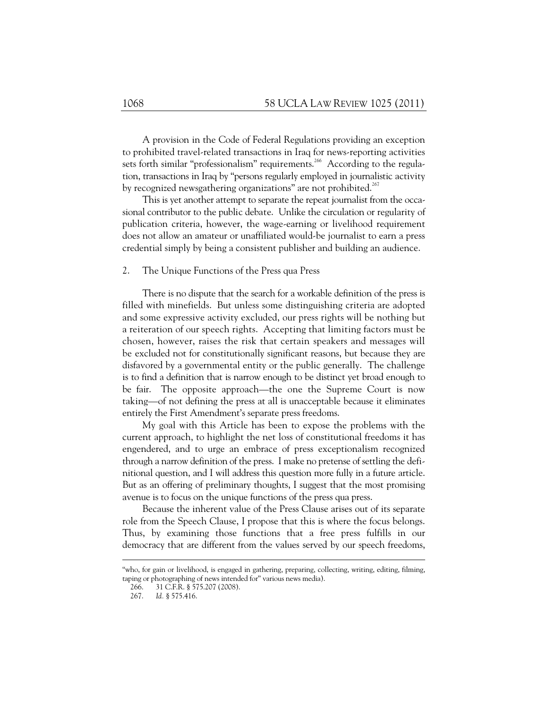A provision in the Code of Federal Regulations providing an exception to prohibited travel-related transactions in Iraq for news-reporting activities sets forth similar "professionalism" requirements.<sup>266</sup> According to the regulation, transactions in Iraq by "persons regularly employed in journalistic activity by recognized newsgathering organizations" are not prohibited.<sup>267</sup>

This is yet another attempt to separate the repeat journalist from the occasional contributor to the public debate. Unlike the circulation or regularity of publication criteria, however, the wage-earning or livelihood requirement does not allow an amateur or unaffiliated would-be journalist to earn a press credential simply by being a consistent publisher and building an audience.

### 2. The Unique Functions of the Press qua Press

There is no dispute that the search for a workable definition of the press is filled with minefields. But unless some distinguishing criteria are adopted and some expressive activity excluded, our press rights will be nothing but a reiteration of our speech rights. Accepting that limiting factors must be chosen, however, raises the risk that certain speakers and messages will be excluded not for constitutionally significant reasons, but because they are disfavored by a governmental entity or the public generally. The challenge is to find a definition that is narrow enough to be distinct yet broad enough to be fair. The opposite approach—the one the Supreme Court is now taking—of not defining the press at all is unacceptable because it eliminates entirely the First Amendment's separate press freedoms.

My goal with this Article has been to expose the problems with the current approach, to highlight the net loss of constitutional freedoms it has engendered, and to urge an embrace of press exceptionalism recognized through a narrow definition of the press. I make no pretense of settling the definitional question, and I will address this question more fully in a future article. But as an offering of preliminary thoughts, I suggest that the most promising avenue is to focus on the unique functions of the press qua press.

Because the inherent value of the Press Clause arises out of its separate role from the Speech Clause, I propose that this is where the focus belongs. Thus, by examining those functions that a free press fulfills in our democracy that are different from the values served by our speech freedoms,

1

<sup>&</sup>quot;who, for gain or livelihood, is engaged in gathering, preparing, collecting, writing, editing, filming, taping or photographing of news intended for" various news media).

 <sup>266. 31</sup> C.F.R. § 575.207 (2008).

 <sup>267.</sup> *Id.* § 575.416.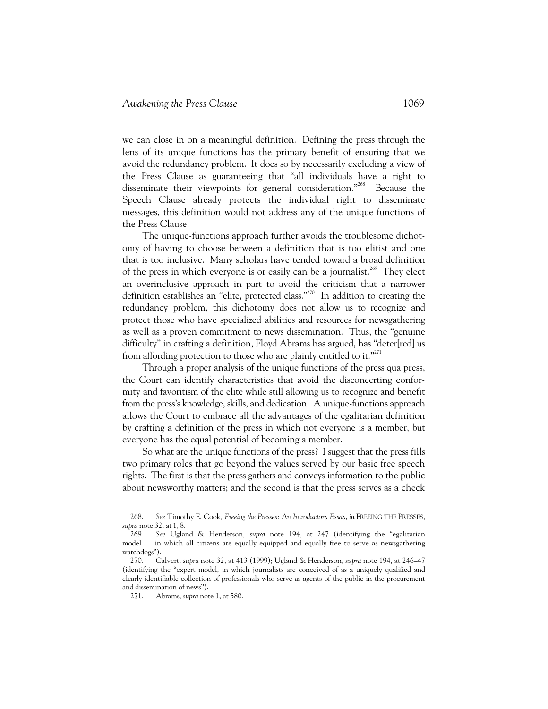we can close in on a meaningful definition. Defining the press through the lens of its unique functions has the primary benefit of ensuring that we avoid the redundancy problem. It does so by necessarily excluding a view of the Press Clause as guaranteeing that "all individuals have a right to disseminate their viewpoints for general consideration."<sup>268</sup> Because the Speech Clause already protects the individual right to disseminate messages, this definition would not address any of the unique functions of the Press Clause.

The unique-functions approach further avoids the troublesome dichotomy of having to choose between a definition that is too elitist and one that is too inclusive. Many scholars have tended toward a broad definition of the press in which everyone is or easily can be a journalist.<sup>269</sup> They elect an overinclusive approach in part to avoid the criticism that a narrower definition establishes an "elite, protected class."<sup>270</sup> In addition to creating the redundancy problem, this dichotomy does not allow us to recognize and protect those who have specialized abilities and resources for newsgathering as well as a proven commitment to news dissemination. Thus, the "genuine difficulty" in crafting a definition, Floyd Abrams has argued, has "deter[red] us from affording protection to those who are plainly entitled to it."<sup> $271$ </sup>

Through a proper analysis of the unique functions of the press qua press, the Court can identify characteristics that avoid the disconcerting conformity and favoritism of the elite while still allowing us to recognize and benefit from the press's knowledge, skills, and dedication. A unique-functions approach allows the Court to embrace all the advantages of the egalitarian definition by crafting a definition of the press in which not everyone is a member, but everyone has the equal potential of becoming a member.

So what are the unique functions of the press? I suggest that the press fills two primary roles that go beyond the values served by our basic free speech rights. The first is that the press gathers and conveys information to the public about newsworthy matters; and the second is that the press serves as a check

 <sup>268.</sup> *See* Timothy E. Cook*, Freeing the Presses: An Introductory Essay*, *in* FREEING THE PRESSES, *supra* note 32, at 1, 8.

 <sup>269.</sup> *See* Ugland & Henderson, *supra* note 194, at 247 (identifying the "egalitarian model . . . in which all citizens are equally equipped and equally free to serve as newsgathering watchdogs").

 <sup>270.</sup> Calvert, *supra* note 32, at 413 (1999); Ugland & Henderson, *supra* note 194, at 246–47 (identifying the "expert model, in which journalists are conceived of as a uniquely qualified and clearly identifiable collection of professionals who serve as agents of the public in the procurement and dissemination of news").

 <sup>271.</sup> Abrams, *supra* note 1, at 580.